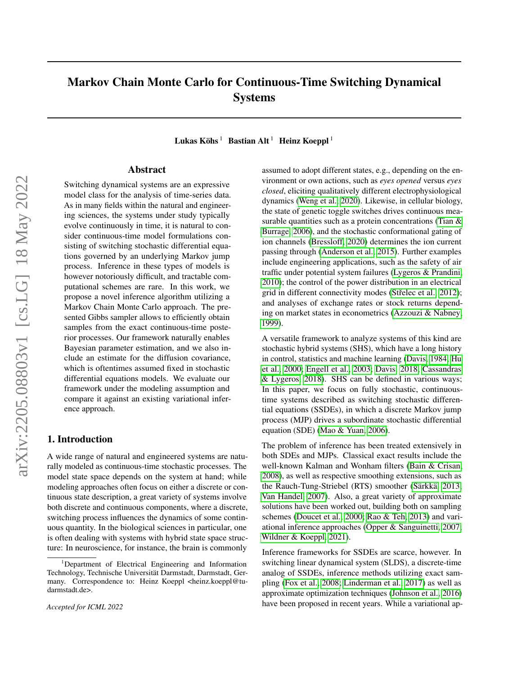## <span id="page-0-0"></span>Markov Chain Monte Carlo for Continuous-Time Switching Dynamical Systems

Lukas Köhs<sup>1</sup> Bastian Alt<sup>1</sup> Heinz Koeppl<sup>1</sup>

## Abstract

Switching dynamical systems are an expressive model class for the analysis of time-series data. As in many fields within the natural and engineering sciences, the systems under study typically evolve continuously in time, it is natural to consider continuous-time model formulations consisting of switching stochastic differential equations governed by an underlying Markov jump process. Inference in these types of models is however notoriously difficult, and tractable computational schemes are rare. In this work, we propose a novel inference algorithm utilizing a Markov Chain Monte Carlo approach. The presented Gibbs sampler allows to efficiently obtain samples from the exact continuous-time posterior processes. Our framework naturally enables Bayesian parameter estimation, and we also include an estimate for the diffusion covariance, which is oftentimes assumed fixed in stochastic differential equations models. We evaluate our framework under the modeling assumption and compare it against an existing variational inference approach.

### 1. Introduction

A wide range of natural and engineered systems are naturally modeled as continuous-time stochastic processes. The model state space depends on the system at hand; while modeling approaches often focus on either a discrete or continuous state description, a great variety of systems involve both discrete and continuous components, where a discrete, switching process influences the dynamics of some continuous quantity. In the biological sciences in particular, one is often dealing with systems with hybrid state space structure: In neuroscience, for instance, the brain is commonly

*Accepted for ICML 2022*

assumed to adopt different states, e.g., depending on the environment or own actions, such as *eyes opened* versus *eyes closed*, eliciting qualitatively different electrophysiological dynamics [\(Weng et al., 2020\)](#page-10-0). Likewise, in cellular biology, the state of genetic toggle switches drives continuous mea-surable quantities such as a protein concentrations [\(Tian &](#page-10-1) [Burrage, 2006\)](#page-10-1), and the stochastic conformational gating of ion channels [\(Bressloff, 2020\)](#page-8-0) determines the ion current passing through [\(Anderson et al., 2015\)](#page-8-1). Further examples include engineering applications, such as the safety of air traffic under potential system failures [\(Lygeros & Prandini,](#page-9-0) [2010\)](#page-9-0); the control of the power distribution in an electrical grid in different connectivity modes (Střelec et al., 2012); and analyses of exchange rates or stock returns depending on market states in econometrics [\(Azzouzi & Nabney,](#page-8-2) [1999\)](#page-8-2).

A versatile framework to analyze systems of this kind are stochastic hybrid systems (SHS), which have a long history in control, statistics and machine learning [\(Davis, 1984;](#page-8-3) [Hu](#page-8-4) [et al., 2000;](#page-8-4) [Engell et al., 2003;](#page-8-5) [Davis, 2018;](#page-8-6) [Cassandras](#page-8-7) [& Lygeros, 2018\)](#page-8-7). SHS can be defined in various ways; In this paper, we focus on fully stochastic, continuoustime systems described as switching stochastic differential equations (SSDEs), in which a discrete Markov jump process (MJP) drives a subordinate stochastic differential equation (SDE) [\(Mao & Yuan, 2006\)](#page-9-2).

The problem of inference has been treated extensively in both SDEs and MJPs. Classical exact results include the well-known Kalman and Wonham filters [\(Bain & Crisan,](#page-8-8) [2008\)](#page-8-8), as well as respective smoothing extensions, such as the Rauch-Tung-Striebel (RTS) smoother [\(Särkkä, 2013;](#page-9-3) [Van Handel, 2007\)](#page-10-2). Also, a great variety of approximate solutions have been worked out, building both on sampling schemes [\(Doucet et al., 2000;](#page-8-9) [Rao & Teh, 2013\)](#page-9-4) and variational inference approaches [\(Opper & Sanguinetti, 2007;](#page-9-5) [Wildner & Koeppl, 2021\)](#page-10-3).

Inference frameworks for SSDEs are scarce, however. In switching linear dynamical system (SLDS), a discrete-time analog of SSDEs, inference methods utilizing exact sampling [\(Fox et al., 2008;](#page-8-10) [Linderman et al., 2017\)](#page-9-6) as well as approximate optimization techniques [\(Johnson et al., 2016\)](#page-9-7) have been proposed in recent years. While a variational ap-

<sup>1</sup>Department of Electrical Engineering and Information Technology, Technische Universität Darmstadt, Darmstadt, Germany. Correspondence to: Heinz Koeppl <heinz.koeppl@tudarmstadt.de>.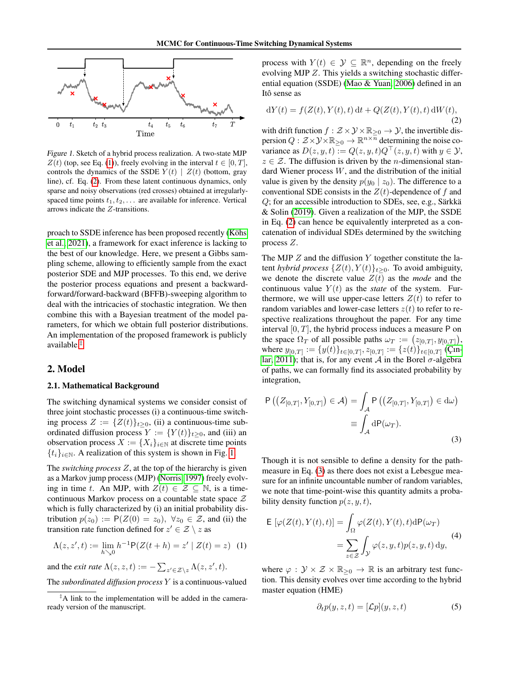

<span id="page-1-2"></span>Figure 1. Sketch of a hybrid process realization. A two-state MJP  $Z(t)$  (top, see Eq. [\(1\)](#page-1-0)), freely evolving in the interval  $t \in [0, T]$ , controls the dynamics of the SSDE  $Y(t) | Z(t)$  (bottom, gray line), cf. Eq. [\(2\)](#page-1-1). From these latent continuous dynamics, only sparse and noisy observations (red crosses) obtained at irregularlyspaced time points  $t_1, t_2, \ldots$  are available for inference. Vertical arrows indicate the Z-transitions.

proach to SSDE inference has been proposed recently [\(Köhs](#page-9-8) [et al., 2021\)](#page-9-8), a framework for exact inference is lacking to the best of our knowledge. Here, we present a Gibbs sampling scheme, allowing to efficiently sample from the exact posterior SDE and MJP processes. To this end, we derive the posterior process equations and present a backwardforward/forward-backward (BFFB)-sweeping algorithm to deal with the intricacies of stochastic integration. We then combine this with a Bayesian treatment of the model parameters, for which we obtain full posterior distributions. An implementation of the proposed framework is publicly available.[‡](#page-0-0)

### <span id="page-1-6"></span>2. Model

#### 2.1. Mathematical Background

The switching dynamical systems we consider consist of three joint stochastic processes (i) a continuous-time switching process  $Z := \{Z(t)\}_{t\geq 0}$ , (ii) a continuous-time subordinated diffusion process  $Y := \{Y(t)\}_{t\geq0}$ , and (iii) an observation process  $X := \{X_i\}_{i \in \mathbb{N}}$  at discrete time points  ${t_i}_{i\in\mathbb{N}}$ . A realization of this system is shown in Fig. [1.](#page-1-2)

The *switching process* Z, at the top of the hierarchy is given as a Markov jump process (MJP) [\(Norris, 1997\)](#page-9-9) freely evolving in time t. An MJP, with  $Z(t) \in \mathcal{Z} \subseteq \mathbb{N}$ , is a timecontinuous Markov process on a countable state space Z which is fully characterized by (i) an initial probability distribution  $p(z_0) := P(Z(0) = z_0)$ ,  $\forall z_0 \in \mathcal{Z}$ , and (ii) the transition rate function defined for  $z' \in \mathcal{Z} \setminus z$  as

$$
\Lambda(z, z', t) := \lim_{h \searrow 0} h^{-1} \mathsf{P}(Z(t + h) = z' | Z(t) = z) \tag{1}
$$

and the *exit rate*  $\Lambda(z, z, t) := -\sum_{z' \in \mathcal{Z} \setminus z} \Lambda(z, z', t)$ .

The *subordinated diffusion process* Y is a continuous-valued

process with  $Y(t) \in \mathcal{Y} \subseteq \mathbb{R}^n$ , depending on the freely evolving MJP Z. This yields a switching stochastic differential equation (SSDE) [\(Mao & Yuan, 2006\)](#page-9-2) defined in an Itô sense as

<span id="page-1-1"></span>
$$
dY(t) = f(Z(t), Y(t), t) dt + Q(Z(t), Y(t), t) dW(t),
$$
\n(2)

with drift function  $f : \mathcal{Z} \times \mathcal{Y} \times \mathbb{R}_{\geq 0} \to \mathcal{Y}$ , the invertible dispersion  $Q : \mathcal{Z} \times \mathcal{Y} \times \mathbb{R}_{\geq 0} \to \mathbb{R}^{n \times \overline{n}}$  determining the noise covariance as  $D(z, y, t) := Q(z, y, t)Q^{\top}(z, y, t)$  with  $y \in \mathcal{Y}$ ,  $z \in \mathcal{Z}$ . The diffusion is driven by the *n*-dimensional standard Wiener process  $W$ , and the distribution of the initial value is given by the density  $p(y_0 | z_0)$ . The difference to a conventional SDE consists in the  $Z(t)$ -dependence of f and Q; for an accessible introduction to SDEs, see, e.g., Särkkä & Solin [\(2019\)](#page-9-10). Given a realization of the MJP, the SSDE in Eq. [\(2\)](#page-1-1) can hence be equivalently interpreted as a concatenation of individual SDEs determined by the switching process Z.

The MJP  $Z$  and the diffusion  $Y$  together constitute the latent *hybrid process*  $\{Z(t), Y(t)\}_{t\geq 0}$ . To avoid ambiguity, we denote the discrete value  $Z(t)$  as the *mode* and the continuous value  $Y(t)$  as the *state* of the system. Furthermore, we will use upper-case letters  $Z(t)$  to refer to random variables and lower-case letters  $z(t)$  to refer to respective realizations throughout the paper. For any time interval  $[0, T]$ , the hybrid process induces a measure P on the space  $\Omega_T$  of all possible paths  $\omega_T := (z_{[0,T]}, y_{[0,T]}),$ where  $y_{[0,T]} := \{y(t)\}_{t \in [0,T]}, z_{[0,T]} := \{z(t)\}_{t \in [0,T]}$  [\(Çın](#page-8-11)[lar, 2011\)](#page-8-11); that is, for any event A in the Borel  $\sigma$ -algebra of paths, we can formally find its associated probability by integration,

<span id="page-1-3"></span>
$$
P\left(\left(Z_{[0,T]}, Y_{[0,T]}\right) \in \mathcal{A}\right) = \int_{\mathcal{A}} P\left(\left(Z_{[0,T]}, Y_{[0,T]}\right) \in d\omega\right)
$$

$$
\equiv \int_{\mathcal{A}} dP(\omega_T).
$$
\n(3)

Though it is not sensible to define a density for the pathmeasure in Eq. [\(3\)](#page-1-3) as there does not exist a Lebesgue measure for an infinite uncountable number of random variables, we note that time-point-wise this quantity admits a probability density function  $p(z, y, t)$ ,

<span id="page-1-4"></span><span id="page-1-0"></span>
$$
\mathsf{E}\left[\varphi(Z(t), Y(t), t)\right] = \int_{\Omega} \varphi(Z(t), Y(t), t) \, d\mathsf{P}(\omega_T)
$$
\n
$$
= \sum_{z \in \mathcal{Z}} \int_{\mathcal{Y}} \varphi(z, y, t) p(z, y, t) \, dy,
$$
\n(4)

where  $\varphi : \mathcal{Y} \times \mathcal{Z} \times \mathbb{R}_{\geq 0} \to \mathbb{R}$  is an arbitrary test function. This density evolves over time according to the hybrid master equation (HME)

<span id="page-1-5"></span>
$$
\partial_t p(y, z, t) = [\mathcal{L}p](y, z, t) \tag{5}
$$

<sup>‡</sup>A link to the implementation will be added in the cameraready version of the manuscript.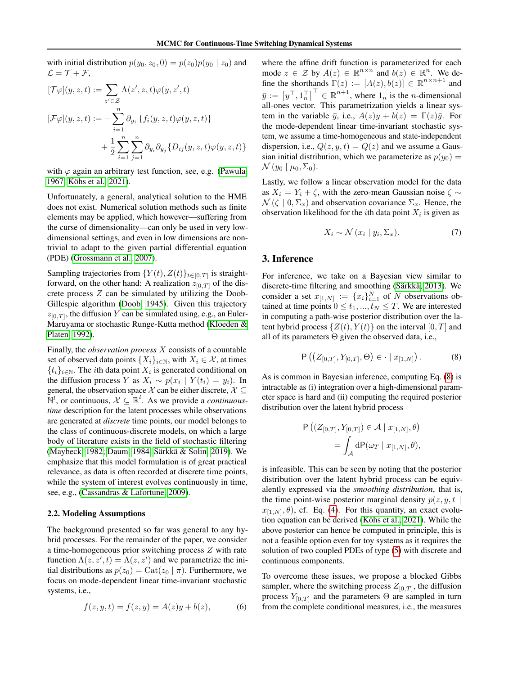with initial distribution  $p(y_0, z_0, 0) = p(z_0)p(y_0 | z_0)$  and  $\mathcal{L} = \mathcal{T} + \mathcal{F},$ 

$$
[\mathcal{T}\varphi](y,z,t) := \sum_{z' \in \mathcal{Z}} \Lambda(z',z,t)\varphi(y,z',t)
$$

$$
[\mathcal{F}\varphi](y,z,t) := -\sum_{i=1}^n \partial_{y_i} \{ f_i(y,z,t)\varphi(y,z,t) \}
$$

$$
+ \frac{1}{2} \sum_{i=1}^n \sum_{j=1}^n \partial_{y_i} \partial_{y_j} \{ D_{ij}(y,z,t)\varphi(y,z,t) \}
$$

with  $\varphi$  again an arbitrary test function, see, e.g. [\(Pawula,](#page-9-11) [1967;](#page-9-11) [Köhs et al., 2021\)](#page-9-8).

Unfortunately, a general, analytical solution to the HME does not exist. Numerical solution methods such as finite elements may be applied, which however—suffering from the curse of dimensionality—can only be used in very lowdimensional settings, and even in low dimensions are nontrivial to adapt to the given partial differential equation (PDE) [\(Grossmann et al., 2007\)](#page-8-12).

Sampling trajectories from  $\{Y(t), Z(t)\}_{t \in [0,T]}$  is straightforward, on the other hand: A realization  $z_{[0,T]}$  of the discrete process  $Z$  can be simulated by utilizing the Doob-Gillespie algorithm [\(Doob, 1945\)](#page-8-13). Given this trajectory  $z_{[0,T]}$ , the diffusion Y can be simulated using, e.g., an Euler-Maruyama or stochastic Runge-Kutta method [\(Kloeden &](#page-9-12) [Platen, 1992\)](#page-9-12).

Finally, the *observation process* X consists of a countable set of observed data points  $\{X_i\}_{i\in\mathbb{N}}$ , with  $X_i \in \mathcal{X}$ , at times  $\{t_i\}_{i\in\mathbb{N}}$ . The *i*th data point  $X_i$  is generated conditional on the diffusion process Y as  $X_i \sim p(x_i \mid Y(t_i) = y_i)$ . In general, the observation space X can be either discrete,  $X \subseteq$  $\mathbb{N}^l$ , or continuous,  $\mathcal{X} \subseteq \mathbb{R}^l$ . As we provide a *continuoustime* description for the latent processes while observations are generated at *discrete* time points, our model belongs to the class of continuous-discrete models, on which a large body of literature exists in the field of stochastic filtering [\(Maybeck, 1982;](#page-9-13) [Daum, 1984;](#page-8-14) [Särkkä & Solin, 2019\)](#page-9-10). We emphasize that this model formulation is of great practical relevance, as data is often recorded at discrete time points, while the system of interest evolves continuously in time, see, e.g., [\(Cassandras & Lafortune, 2009\)](#page-8-15).

#### <span id="page-2-2"></span>2.2. Modeling Assumptions

The background presented so far was general to any hybrid processes. For the remainder of the paper, we consider a time-homogeneous prior switching process Z with rate function  $\Lambda(z, z', t) = \Lambda(z, z')$  and we parametrize the initial distributions as  $p(z_0) = \text{Cat}(z_0 | \pi)$ . Furthermore, we focus on mode-dependent linear time-invariant stochastic systems, i.e.,

<span id="page-2-1"></span>
$$
f(z, y, t) = f(z, y) = A(z)y + b(z),
$$
 (6)

where the affine drift function is parameterized for each mode  $z \in \mathcal{Z}$  by  $A(z) \in \mathbb{R}^{n \times n}$  and  $b(z) \in \mathbb{R}^n$ . We define the shorthands  $\Gamma(z) := [A(z), b(z)] \in \mathbb{R}^{n \times n+1}$  and  $\bar{y} := [y^\top, 1_n^\top]^\top \in \mathbb{R}^{n+1}$ , where  $1_n$  is the *n*-dimensional all-ones vector. This parametrization yields a linear system in the variable  $\bar{y}$ , i.e.,  $A(z)y + b(z) = \Gamma(z)\bar{y}$ . For the mode-dependent linear time-invariant stochastic system, we assume a time-homogeneous and state-independent dispersion, i.e.,  $Q(z, y, t) = Q(z)$  and we assume a Gaussian initial distribution, which we parameterize as  $p(y_0) =$  $\mathcal{N}(y_0 | \mu_0, \Sigma_0).$ 

Lastly, we follow a linear observation model for the data as  $X_i = Y_i + \zeta$ , with the zero-mean Gaussian noise  $\zeta \sim$  $\mathcal{N}(\zeta | 0, \Sigma_x)$  and observation covariance  $\Sigma_x$ . Hence, the observation likelihood for the *i*th data point  $X_i$  is given as

$$
X_i \sim \mathcal{N}(x_i \mid y_i, \Sigma_x). \tag{7}
$$

## 3. Inference

For inference, we take on a Bayesian view similar to discrete-time filtering and smoothing [\(Särkkä, 2013\)](#page-9-3). We consider a set  $x_{[1,N]} := \{x_i\}_{i=1}^N$  of N observations obtained at time points  $0 \le t_1, ..., t_N \le T$ . We are interested in computing a path-wise posterior distribution over the latent hybrid process  $\{Z(t), Y(t)\}$  on the interval  $[0, T]$  and all of its parameters  $\Theta$  given the observed data, i.e.,

<span id="page-2-0"></span>
$$
P((Z_{[0,T]}, Y_{[0,T]}, \Theta) \in \cdot \mid x_{[1,N]})
$$
 (8)

As is common in Bayesian inference, computing Eq. [\(8\)](#page-2-0) is intractable as (i) integration over a high-dimensional parameter space is hard and (ii) computing the required posterior distribution over the latent hybrid process

$$
P ((Z_{[0,T]}, Y_{[0,T]}) \in A | x_{[1,N]}, \theta)
$$
  
=  $\int_{A} dP(\omega_T | x_{[1,N]}, \theta),$ 

is infeasible. This can be seen by noting that the posterior distribution over the latent hybrid process can be equivalently expressed via the *smoothing distribution*, that is, the time point-wise posterior marginal density  $p(z, y, t | z)$  $x_{[1,N]}, \theta$ ), cf. Eq. [\(4\)](#page-1-4). For this quantity, an exact evolution equation can be derived [\(Köhs et al., 2021\)](#page-9-8). While the above posterior can hence be computed in principle, this is not a feasible option even for toy systems as it requires the solution of two coupled PDEs of type [\(5\)](#page-1-5) with discrete and continuous components.

To overcome these issues, we propose a blocked Gibbs sampler, where the switching process  $Z_{[0,T]}$ , the diffusion process  $Y_{[0,T]}$  and the parameters  $\Theta$  are sampled in turn from the complete conditional measures, i.e., the measures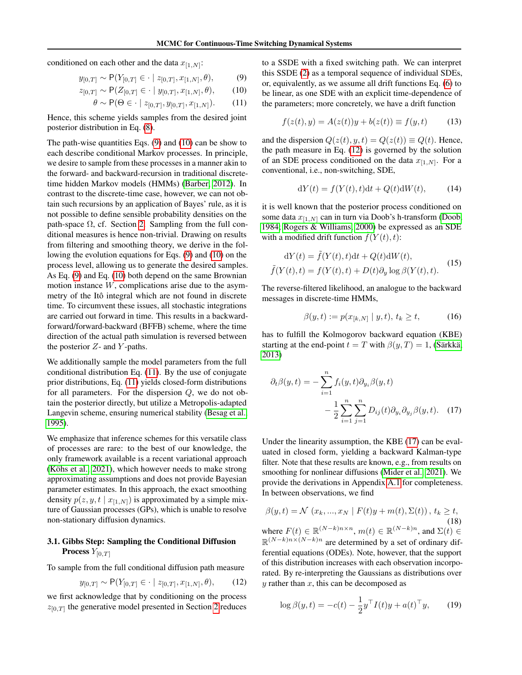conditioned on each other and the data  $x_{[1,N]}$ :

$$
y_{[0,T]} \sim P(Y_{[0,T]} \in \cdot \mid z_{[0,T]}, x_{[1,N]}, \theta),
$$
 (9)

$$
z_{[0,T]} \sim \mathsf{P}(Z_{[0,T]} \in \cdot \mid y_{[0,T]}, x_{[1,N]}, \theta), \qquad (10)
$$

$$
\theta \sim \mathsf{P}(\Theta \in \cdot \mid z_{[0,T]}, y_{[0,T]}, x_{[1,N]}). \tag{11}
$$

Hence, this scheme yields samples from the desired joint posterior distribution in Eq. [\(8\)](#page-2-0).

The path-wise quantities Eqs. [\(9\)](#page-3-0) and [\(10\)](#page-3-1) can be show to each describe conditional Markov processes. In principle, we desire to sample from these processes in a manner akin to the forward- and backward-recursion in traditional discretetime hidden Markov models (HMMs) [\(Barber, 2012\)](#page-8-16). In contrast to the discrete-time case, however, we can not obtain such recursions by an application of Bayes' rule, as it is not possible to define sensible probability densities on the path-space  $\Omega$ , cf. Section [2.](#page-1-6) Sampling from the full conditional measures is hence non-trivial. Drawing on results from filtering and smoothing theory, we derive in the following the evolution equations for Eqs. [\(9\)](#page-3-0) and [\(10\)](#page-3-1) on the process level, allowing us to generate the desired samples. As Eq. [\(9\)](#page-3-0) and Eq. [\(10\)](#page-3-1) both depend on the same Brownian motion instance  $W$ , complications arise due to the asymmetry of the Itô integral which are not found in discrete time. To circumvent these issues, all stochastic integrations are carried out forward in time. This results in a backwardforward/forward-backward (BFFB) scheme, where the time direction of the actual path simulation is reversed between the posterior  $Z$ - and  $Y$ -paths.

We additionally sample the model parameters from the full conditional distribution Eq. [\(11\)](#page-3-2). By the use of conjugate prior distributions, Eq. [\(11\)](#page-3-2) yields closed-form distributions for all parameters. For the dispersion  $Q$ , we do not obtain the posterior directly, but utilize a Metropolis-adapted Langevin scheme, ensuring numerical stability [\(Besag et al.,](#page-8-17) [1995\)](#page-8-17).

We emphasize that inference schemes for this versatile class of processes are rare: to the best of our knowledge, the only framework available is a recent variational approach [\(Köhs et al., 2021\)](#page-9-8), which however needs to make strong approximating assumptions and does not provide Bayesian parameter estimates. In this approach, the exact smoothing density  $p(z, y, t | x_{[1,N]})$  is approximated by a simple mixture of Gaussian processes (GPs), which is unable to resolve non-stationary diffusion dynamics.

## 3.1. Gibbs Step: Sampling the Conditional Diffusion **Process**  $Y_{[0,T]}$

To sample from the full conditional diffusion path measure

$$
y_{[0,T]} \sim P(Y_{[0,T]} \in \cdot \mid z_{[0,T]}, x_{[1,N]}, \theta),
$$
 (12)

we first acknowledge that by conditioning on the process  $z_{[0,T]}$  the generative model presented in Section [2](#page-1-6) reduces

<span id="page-3-2"></span><span id="page-3-1"></span><span id="page-3-0"></span>to a SSDE with a fixed switching path. We can interpret this SSDE [\(2\)](#page-1-1) as a temporal sequence of individual SDEs, or, equivalently, as we assume all drift functions Eq. [\(6\)](#page-2-1) to be linear, as one SDE with an explicit time-dependence of the parameters; more concretely, we have a drift function

$$
f(z(t), y) = A(z(t))y + b(z(t)) \equiv f(y, t)
$$
 (13)

and the dispersion  $Q(z(t), y, t) = Q(z(t)) \equiv Q(t)$ . Hence, the path measure in Eq. [\(12\)](#page-3-3) is governed by the solution of an SDE process conditioned on the data  $x_{[1,N]}$ . For a conventional, i.e., non-switching, SDE,

<span id="page-3-6"></span>
$$
dY(t) = f(Y(t), t)dt + Q(t)dW(t), \qquad (14)
$$

it is well known that the posterior process conditioned on some data  $x_{[1,N]}$  can in turn via Doob's h-transform [\(Doob,](#page-8-18) [1984;](#page-8-18) [Rogers & Williams, 2000\)](#page-9-14) be expressed as an SDE with a modified drift function  $f(Y(t), t)$ :

$$
dY(t) = \tilde{f}(Y(t), t)dt + Q(t)dW(t),
$$
  

$$
\tilde{f}(Y(t), t) = f(Y(t), t) + D(t)\partial_y \log \beta(Y(t), t).
$$
 (15)

The reverse-filtered likelihood, an analogue to the backward messages in discrete-time HMMs,

<span id="page-3-7"></span><span id="page-3-4"></span>
$$
\beta(y, t) := p(x_{[k,N]} \mid y, t), \, t_k \ge t,\tag{16}
$$

has to fulfill the Kolmogorov backward equation (KBE) starting at the end-point  $t = T$  with  $\beta(y,T) = 1$ , [\(Särkkä,](#page-9-3) [2013\)](#page-9-3)

$$
\partial_t \beta(y, t) = -\sum_{i=1}^n f_i(y, t) \partial_{y_i} \beta(y, t)
$$

$$
-\frac{1}{2} \sum_{i=1}^n \sum_{j=1}^n D_{ij}(t) \partial_{y_i} \partial_{y_j} \beta(y, t). \quad (17)
$$

Under the linearity assumption, the KBE [\(17\)](#page-3-4) can be evaluated in closed form, yielding a backward Kalman-type filter. Note that these results are known, e.g., from results on smoothing for nonlinear diffusions [\(Mider et al., 2021\)](#page-9-15). We provide the derivations in Appendix [A.1](#page-11-0) for completeness. In between observations, we find

<span id="page-3-5"></span>
$$
\beta(y,t) = \mathcal{N}(x_k,...,x_N \mid F(t)y + m(t), \Sigma(t)), t_k \ge t,
$$
\n(18)  
\nwhere  $F(t) \in \mathbb{R}^{(N-k)n \times n}$ ,  $m(t) \in \mathbb{R}^{(N-k)n}$ , and  $\Sigma(t) \in \mathbb{R}^{(N-k)n \times (N-k)n}$  are determined by a set of ordinary dif-  
\nferential equations (ODEs). Note, however, that the support  
\nof this distribution increases with each observation incorporated. By re-interpreting the Gaussians as distributions over  
\n $y$  rather than  $x$ , this can be decomposed as

<span id="page-3-3"></span>
$$
\log \beta(y, t) = -c(t) - \frac{1}{2} y^\top I(t) y + a(t)^\top y, \qquad (19)
$$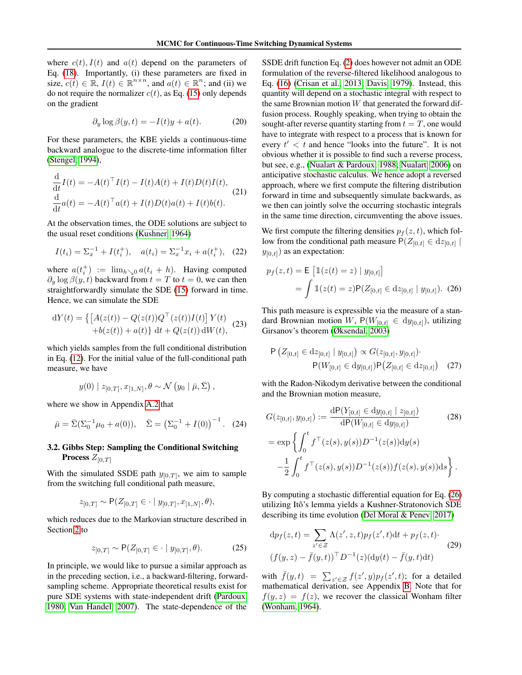where  $c(t)$ ,  $I(t)$  and  $a(t)$  depend on the parameters of Eq. [\(18\)](#page-3-5). Importantly, (i) these parameters are fixed in size,  $c(t) \in \mathbb{R}$ ,  $I(t) \in \mathbb{R}^{n \times n}$ , and  $a(t) \in \mathbb{R}^n$ ; and (ii) we do not require the normalizer  $c(t)$ , as Eq. [\(15\)](#page-3-6) only depends on the gradient

<span id="page-4-3"></span>
$$
\partial_y \log \beta(y, t) = -I(t)y + a(t). \tag{20}
$$

For these parameters, the KBE yields a continuous-time backward analogue to the discrete-time information filter [\(Stengel, 1994\)](#page-9-16),

$$
\frac{\mathrm{d}}{\mathrm{d}t}I(t) = -A(t)^\top I(t) - I(t)A(t) + I(t)D(t)I(t),
$$
\n
$$
\frac{\mathrm{d}}{\mathrm{d}t}a(t) = -A(t)^\top a(t) + I(t)D(t)a(t) + I(t)b(t).
$$
\n(21)

At the observation times, the ODE solutions are subject to the usual reset conditions [\(Kushner, 1964\)](#page-9-17)

$$
I(t_i) = \Sigma_x^{-1} + I(t_i^+), \quad a(t_i) = \Sigma_x^{-1} x_i + a(t_i^+), \quad (22)
$$

where  $a(t_i^+) := \lim_{h \searrow 0} a(t_i + h)$ . Having computed  $\partial_y \log \beta(y, t)$  backward from  $t = T$  to  $t = 0$ , we can then straightforwardly simulate the SDE [\(15\)](#page-3-6) forward in time. Hence, we can simulate the SDE

$$
dY(t) = \{ [A(z(t)) - Q(z(t))Q^{\top}(z(t))I(t)] Y(t) + b(z(t)) + a(t) \} dt + Q(z(t)) dW(t),
$$
 (23)

which yields samples from the full conditional distribution in Eq. [\(12\)](#page-3-3). For the initial value of the full-conditional path measure, we have

$$
y(0) | z_{[0,T]}, x_{[1,N]}, \theta \sim \mathcal{N}(y_0 | \bar{\mu}, \bar{\Sigma}),
$$

where we show in Appendix [A.2](#page-17-0) that

$$
\bar{\mu} = \bar{\Sigma} (\Sigma_0^{-1} \mu_0 + a(0)), \quad \bar{\Sigma} = (\Sigma_0^{-1} + I(0))^{-1}.
$$
 (24)

## 3.2. Gibbs Step: Sampling the Conditional Switching **Process**  $Z_{[0,T]}$

With the simulated SSDE path  $y_{[0,T]}$ , we aim to sample from the switching full conditional path measure,

$$
z_{[0,T]} \sim \mathsf{P}(Z_{[0,T]} \in \cdot \mid y_{[0,T]}, x_{[1,N]}, \theta),
$$

which reduces due to the Markovian structure described in Section [2](#page-1-6) to

<span id="page-4-1"></span>
$$
z_{[0,T]} \sim \mathsf{P}(Z_{[0,T]} \in \cdot \mid y_{[0,T]}, \theta). \tag{25}
$$

In principle, we would like to pursue a similar approach as in the preceding section, i.e., a backward-filtering, forwardsampling scheme. Appropriate theoretical results exist for pure SDE systems with state-independent drift [\(Pardoux,](#page-9-18) [1980;](#page-9-18) [Van Handel, 2007\)](#page-10-2). The state-dependence of the

SSDE drift function Eq. [\(2\)](#page-1-1) does however not admit an ODE formulation of the reverse-filtered likelihood analogous to Eq. [\(16\)](#page-3-7) [\(Crisan et al., 2013;](#page-8-19) [Davis, 1979\)](#page-8-20). Instead, this quantity will depend on a stochastic integral with respect to the same Brownian motion  $W$  that generated the forward diffusion process. Roughly speaking, when trying to obtain the sought-after reverse quantity starting from  $t = T$ , one would have to integrate with respect to a process that is known for every  $t' < t$  and hence "looks into the future". It is not obvious whether it is possible to find such a reverse process, but see, e.g., [\(Nualart & Pardoux, 1988;](#page-9-19) [Nualart, 2006\)](#page-9-20) on anticipative stochastic calculus. We hence adopt a reversed approach, where we first compute the filtering distribution forward in time and subsequently simulate backwards, as we then can jointly solve the occurring stochastic integrals in the same time direction, circumventing the above issues.

We first compute the filtering densities  $p_f(z, t)$ , which follow from the conditional path measure  $P(Z_{[0,t]} \in dz_{[0,t]} |)$  $y_{[0,t]}$ ) as an expectation:

<span id="page-4-0"></span>
$$
p_f(z,t) = \mathsf{E}\left[\mathbb{1}(z(t) = z) \mid y_{[0,t]}\right]
$$

$$
= \int \mathbb{1}(z(t) = z) \mathsf{P}(Z_{[0,t]} \in dz_{[0,t]} \mid y_{[0,t]}).
$$
 (26)

<span id="page-4-4"></span>This path measure is expressible via the measure of a standard Brownian motion W,  $P(W_{[0,t]} \in dy_{[0,t]}),$  utilizing Girsanov's theorem [\(Øksendal, 2003\)](#page-9-21)

$$
P(Z_{[0,t]} \in dz_{[0,t]} | y_{[0,t]}) \propto G(z_{[0,t]}, y_{[0,t]})
$$

$$
P(W_{[0,t]} \in dy_{[0,t]}) P(Z_{[0,t]} \in dz_{[0,t]}) \quad (27)
$$

with the Radon-Nikodym derivative between the conditional and the Brownian motion measure,

<span id="page-4-5"></span>
$$
G(z_{[0,t]}, y_{[0,t]}) := \frac{\mathrm{d}P(Y_{[0,t]} \in \mathrm{d}y_{[0,t]} \mid z_{[0,t]})}{\mathrm{d}P(W_{[0,t]} \in \mathrm{d}y_{[0,t]})}
$$
(28)  
=  $\exp\left\{\int_0^t f^\top(z(s), y(s))D^{-1}(z(s))\mathrm{d}y(s)$   
 $-\frac{1}{2}\int_0^t f^\top(z(s), y(s))D^{-1}(z(s))f(z(s), y(s))\mathrm{d}s\right\}.$ 

By computing a stochastic differential equation for Eq. [\(26\)](#page-4-0) utilizing Itô's lemma yields a Kushner-Stratonovich SDE describing its time evolution [\(Del Moral & Penev, 2017\)](#page-8-21)

<span id="page-4-2"></span>
$$
\begin{aligned} \mathrm{d}p_f(z,t) &= \sum_{z' \in \mathcal{Z}} \Lambda(z',z,t) p_f(z',t) \mathrm{d}t + p_f(z,t) \cdot \\ (f(y,z) - \bar{f}(y,t))^\top D^{-1}(z) (\mathrm{d}y(t) - \bar{f}(y,t) \mathrm{d}t) \end{aligned} \tag{29}
$$

with  $\bar{f}(y,t) = \sum_{z' \in \mathcal{Z}} f(z',y)p_f(z',t)$ ; for a detailed mathematical derivation, see Appendix [B.](#page-17-1) Note that for  $f(y, z) = f(z)$ , we recover the classical Wonham filter [\(Wonham, 1964\)](#page-10-4).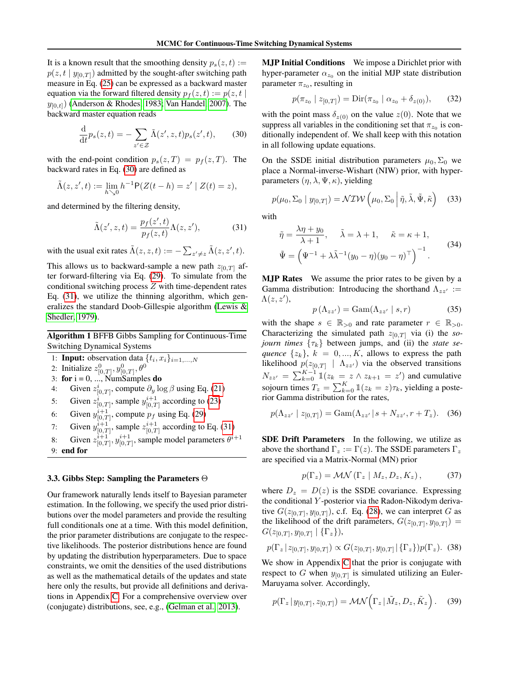It is a known result that the smoothing density  $p_s(z, t) :=$  $p(z, t | y_{[0,T]})$  admitted by the sought-after switching path measure in Eq. [\(25\)](#page-4-1) can be expressed as a backward master equation via the forward filtered density  $p_f(z, t) := p(z, t)$  $y_{[0,t]}$ ) [\(Anderson & Rhodes, 1983;](#page-8-22) [Van Handel, 2007\)](#page-10-2). The backward master equation reads

<span id="page-5-0"></span>
$$
\frac{\mathrm{d}}{\mathrm{d}t}p_s(z,t) = -\sum_{z' \in \mathcal{Z}} \tilde{\Lambda}(z',z,t)p_s(z',t),\qquad(30)
$$

with the end-point condition  $p_s(z,T) = p_f(z,T)$ . The backward rates in Eq. [\(30\)](#page-5-0) are defined as

$$
\tilde{\Lambda}(z, z', t) := \lim_{h \searrow 0} h^{-1} P(Z(t - h) = z' | Z(t) = z),
$$

and determined by the filtering density,

$$
\tilde{\Lambda}(z', z, t) = \frac{p_f(z', t)}{p_f(z, t)} \Lambda(z, z'),\tag{31}
$$

with the usual exit rates  $\tilde{\Lambda}(z, z, t) := -\sum_{z' \neq z} \tilde{\Lambda}(z, z', t)$ .

This allows us to backward-sample a new path  $z_{[0,T]}$  after forward-filtering via Eq. [\(29\)](#page-4-2). To simulate from the conditional switching process Z with time-dependent rates Eq. [\(31\)](#page-5-1), we utilize the thinning algorithm, which generalizes the standard Doob-Gillespie algorithm [\(Lewis &](#page-9-22) [Shedler, 1979\)](#page-9-22).

<span id="page-5-3"></span>Algorithm 1 BFFB Gibbs Sampling for Continuous-Time Switching Dynamical Systems

- 1: **Input:** observation data  $\{t_i, x_i\}_{i=1,\dots,N}$
- 2: Initialize  $z_{[0,T]}^0, y_{[0,T]}^0, \theta^0$
- 3: for  $i = 0, ..., NumSamples$  do
- 4: Given  $z^i_{[0,T]}$ , compute  $\partial_y \log \beta$  using Eq. [\(21\)](#page-4-3)
- 5: Given  $z^i_{[0,T]}$ , sample  $y^{i+1}_{[0,T]}$  according to [\(23\)](#page-4-4)
- 6: Given  $y_{[0,T]}^{i+1}$ , compute  $p_f$  using Eq. [\(29\)](#page-4-2)
- 7: Given  $y_{[0,T]}^{i+1}$ , sample  $z_{[0,T]}^{i+1}$  according to Eq. [\(31\)](#page-5-1)
- 8: Given  $z_{[0,T]}^{i+1}$ ,  $y_{[0,T]}^{i+1}$ , sample model parameters  $\theta^{i+1}$ 9: end for

#### <span id="page-5-4"></span>3.3. Gibbs Step: Sampling the Parameters Θ

Our framework naturally lends itself to Bayesian parameter estimation. In the following, we specify the used prior distributions over the model parameters and provide the resulting full conditionals one at a time. With this model definition, the prior parameter distributions are conjugate to the respective likelihoods. The posterior distributions hence are found by updating the distribution hyperparameters. Due to space constraints, we omit the densities of the used distributions as well as the mathematical details of the updates and state here only the results, but provide all definitions and derivations in Appendix [C.](#page-19-0) For a comprehensive overview over (conjugate) distributions, see, e.g., [\(Gelman et al., 2013\)](#page-8-23).

MJP Initial Conditions We impose a Dirichlet prior with hyper-parameter  $\alpha_{z_0}$  on the initial MJP state distribution parameter  $\pi_{z_0}$ , resulting in

$$
p(\pi_{z_0} \mid z_{[0,T]}) = \text{Dir}(\pi_{z_0} \mid \alpha_{z_0} + \delta_{z(0)}), \qquad (32)
$$

with the point mass  $\delta_{z(0)}$  on the value  $z(0)$ . Note that we suppress all variables in the conditioning set that  $\pi_{z_0}$  is conditionally independent of. We shall keep with this notation in all following update equations.

On the SSDE initial distribution parameters  $\mu_0$ ,  $\Sigma_0$  we place a Normal-inverse-Wishart (NIW) prior, with hyperparameters  $(\eta, \lambda, \Psi, \kappa)$ , yielding

$$
p(\mu_0, \Sigma_0 \mid y_{[0,T]}) = \mathcal{NIW}\left(\mu_0, \Sigma_0 \middle| \tilde{\eta}, \tilde{\lambda}, \tilde{\Psi}, \tilde{\kappa}\right) \quad (33)
$$

<span id="page-5-1"></span>with

$$
\tilde{\eta} = \frac{\lambda \eta + y_0}{\lambda + 1}, \quad \tilde{\lambda} = \lambda + 1, \quad \tilde{\kappa} = \kappa + 1,
$$
  

$$
\tilde{\Psi} = \left(\Psi^{-1} + \lambda \tilde{\lambda}^{-1} (y_0 - \eta) (y_0 - \eta)^{\top}\right)^{-1}.
$$
 (34)

MJP Rates We assume the prior rates to be given by a Gamma distribution: Introducing the shorthand  $\Lambda_{zz}$  :=  $\Lambda(z,z'),$ 

$$
p(\Lambda_{zz'}) = \text{Gam}(\Lambda_{zz'} \mid s, r) \tag{35}
$$

with the shape  $s \in \mathbb{R}_{>0}$  and rate parameter  $r \in \mathbb{R}_{>0}$ . Characterizing the simulated path  $z_{[0,T]}$  via (i) the *sojourn times*  $\{\tau_k\}$  between jumps, and (ii) the *state sequence*  $\{z_k\}$ ,  $k = 0, ..., K$ , allows to express the path likelihood  $p(z_{[0,T]} | \Lambda_{zz})$  via the observed transitions  $N_{zz'} = \sum_{k=0}^{K-1} \mathbb{1}(z_k = z \wedge z_{k+1} = z')$  and cumulative sojourn times  $T_z = \sum_{k=0}^{K} \mathbb{1}(z_k = z)\tau_k$ , yielding a posterior Gamma distribution for the rates,

$$
p(\Lambda_{zz'} \mid z_{[0,T]}) = \text{Gam}(\Lambda_{zz'} \mid s + N_{zz'}, r + T_z). \quad (36)
$$

SDE Drift Parameters In the following, we utilize as above the shorthand  $\Gamma_z := \Gamma(z)$ . The SSDE parameters  $\Gamma_z$ are specified via a Matrix-Normal (MN) prior

<span id="page-5-2"></span>
$$
p(\Gamma_z) = \mathcal{MN} (\Gamma_z \mid M_z, D_z, K_z), \tag{37}
$$

where  $D_z = D(z)$  is the SSDE covariance. Expressing the conditional Y -posterior via the Radon-Nikodym derivative  $G(z_{[0,T]}, y_{[0,T]})$ , c.f. Eq. [\(28\)](#page-4-5), we can interpret G as the likelihood of the drift parameters,  $G(z_{[0,T]}, y_{[0,T]}) =$  $G(z_{[0,T]},y_{[0,T]} \mid {\{\Gamma_z\}}),$ 

$$
p(\Gamma_z | z_{[0,T]}, y_{[0,T]}) \propto G(z_{[0,T]}, y_{[0,T]} | {\Gamma_z}) p(\Gamma_z). \tag{38}
$$

We show in Appendix [C](#page-19-0) that the prior is conjugate with respect to G when  $y_{[0,T]}$  is simulated utilizing an Euler-Maruyama solver. Accordingly,

$$
p(\Gamma_z | y_{[0,T]}, z_{[0,T]}) = \mathcal{MN}\Big(\Gamma_z | \tilde{M}_z, D_z, \tilde{K}_z\Big). \quad (39)
$$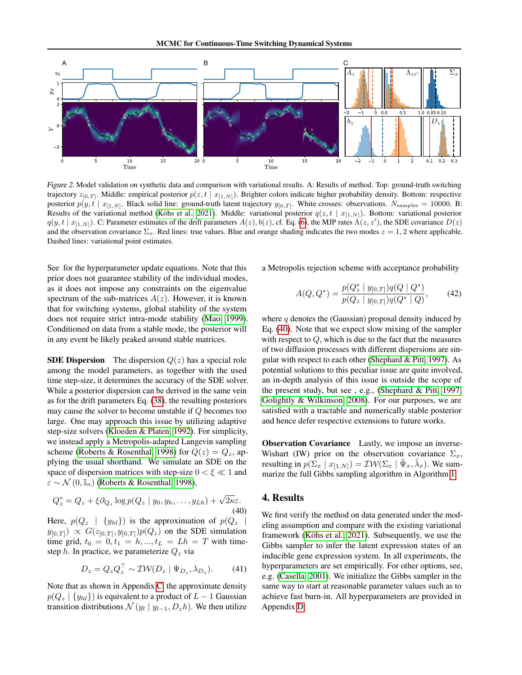

<span id="page-6-1"></span>Figure 2. Model validation on synthetic data and comparison with variational results. A: Results of method. Top: ground-truth switching trajectory  $z_{[0,T]}$ . Middle: empirical posterior  $p(z, t | x_{[1,N]})$ . Brighter colors indicate higher probability density. Bottom: respective posterior  $p(y, t | x_{[1,N]})$ . Black solid line: ground-truth latent trajectory  $y_{[0,T]}$ . White crosses: observations.  $N_{\text{samples}} = 10000$ . B: Results of the variational method [\(Köhs et al., 2021\)](#page-9-8). Middle: variational posterior  $q(z, t | x_{[1,N]})$ . Bottom: variational posterior  $q(y, t | x_{[1,N]})$ . C: Parameter estimates of the drift parameters  $A(z), b(z)$ , cf. Eq. [\(6\)](#page-2-1), the MJP rates  $\Lambda(z, z')$ , the SDE covariance  $D(z)$ and the observation covariance  $\Sigma_x$ . Red lines: true values. Blue and orange shading indicates the two modes  $z = 1, 2$  where applicable. Dashed lines: variational point estimates.

See for the hyperparameter update equations. Note that this prior does not guarantee stability of the individual modes, as it does not impose any constraints on the eigenvalue spectrum of the sub-matrices  $A(z)$ . However, it is known that for switching systems, global stability of the system does not require strict intra-mode stability [\(Mao, 1999\)](#page-9-23). Conditioned on data from a stable mode, the posterior will in any event be likely peaked around stable matrices.

**SDE Dispersion** The dispersion  $Q(z)$  has a special role among the model parameters, as together with the used time step-size, it determines the accuracy of the SDE solver. While a posterior dispersion can be derived in the same vein as for the drift parameters Eq. [\(38\)](#page-5-2), the resulting posteriors may cause the solver to become unstable if Q becomes too large. One may approach this issue by utilizing adaptive step-size solvers [\(Kloeden & Platen, 1992\)](#page-9-12). For simplicity, we instead apply a Metropolis-adapted Langevin sampling scheme [\(Roberts & Rosenthal, 1998\)](#page-9-24) for  $Q(z) = Q_z$ , applying the usual shorthand. We simulate an SDE on the space of dispersion matrices with step-size  $0 < \xi \ll 1$  and  $\varepsilon \sim \mathcal{N}(0, \mathbb{I}_n)$  [\(Roberts & Rosenthal, 1998\)](#page-9-24),

$$
Q_z^* = Q_z + \xi \partial_{Q_z} \log p(Q_z \mid y_0, y_h, \dots, y_{Lh}) + \sqrt{2\kappa \varepsilon}.
$$
\n(40)

Here,  $p(Q_z \mid \{y_{hl}\})$  is the approximation of  $p(Q_z \mid$  $y_{[0,T]}) \propto G(z_{[0,T]}, y_{[0,T]}) p(Q_z)$  on the SDE simulation time grid,  $t_0 = 0, t_1 = h, ..., t_L = Lh = T$  with timestep h. In practice, we parameterize  $Q_z$  via

$$
D_z = Q_z Q_z^\top \sim \mathcal{IW}(D_z \mid \Psi_{D_z}, \lambda_{D_z}).\tag{41}
$$

Note that as shown in Appendix [C,](#page-19-0) the approximate density  $p(Q_z | \{y_{hl}\})$  is equivalent to a product of  $L-1$  Gaussian transition distributions  $\mathcal{N}(y_l | y_{l-1}, D_z h)$ . We then utilize a Metropolis rejection scheme with acceptance probability

$$
A(Q, Q^*) = \frac{p(Q_z^* \mid y_{[0,T]})q(Q \mid Q^*)}{p(Q_z \mid y_{[0,T]})q(Q^* \mid Q)},
$$
(42)

where  $q$  denotes the (Gaussian) proposal density induced by Eq. [\(40\)](#page-6-0). Note that we expect slow mixing of the sampler with respect to  $Q$ , which is due to the fact that the measures of two diffusion processes with different dispersions are singular with respect to each other [\(Shephard & Pitt, 1997\)](#page-9-25). As potential solutions to this peculiar issue are quite involved, an in-depth analysis of this issue is outside the scope of the present study, but see , e.g., [\(Shephard & Pitt, 1997;](#page-9-25) [Golightly & Wilkinson, 2008\)](#page-8-24). For our purposes, we are satisfied with a tractable and numerically stable posterior and hence defer respective extensions to future works.

Observation Covariance Lastly, we impose an inverse-Wishart (IW) prior on the observation covariance  $\Sigma_x$ , resulting in  $p(\bar{\Sigma}_x | x_{[1,N]}) = \mathcal{IW}(\Sigma_x | \tilde{\Psi}_x, \tilde{\lambda}_x)$ . We summarize the full Gibbs sampling algorithm in Algorithm [1.](#page-5-3)

## <span id="page-6-0"></span>4. Results

We first verify the method on data generated under the modeling assumption and compare with the existing variational framework [\(Köhs et al., 2021\)](#page-9-8). Subsequently, we use the Gibbs sampler to infer the latent expression states of an inducible gene expression system. In all experiments, the hyperparameters are set empirically. For other options, see, e.g. [\(Casella, 2001\)](#page-8-25). We initialize the Gibbs sampler in the same way to start at reasonable parameter values such as to achieve fast burn-in. All hyperparameters are provided in Appendix [D.](#page-22-0)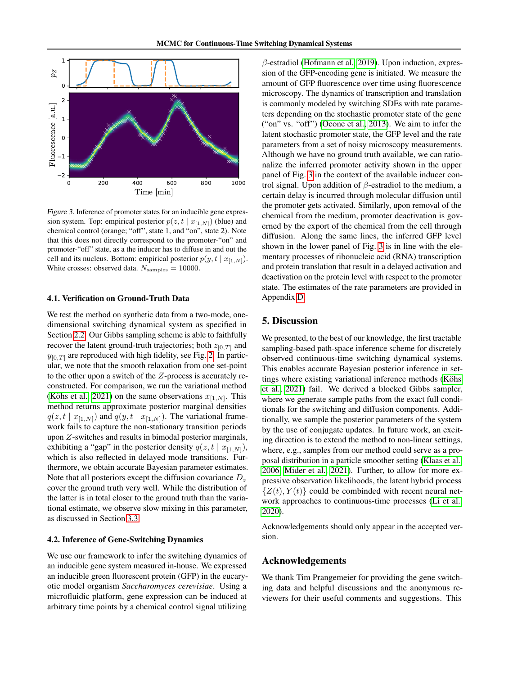

<span id="page-7-0"></span>Figure 3. Inference of promoter states for an inducible gene expression system. Top: empirical posterior  $p(z, t | x_{[1,N]})$  (blue) and chemical control (orange; "off", state 1, and "on", state 2). Note that this does not directly correspond to the promoter-"on" and promoter-"off" state, as a the inducer has to diffuse in and out the cell and its nucleus. Bottom: empirical posterior  $p(y, t | x_{[1,N]})$ . White crosses: observed data.  $N_{\text{samples}} = 10000$ .

#### 4.1. Verification on Ground-Truth Data

We test the method on synthetic data from a two-mode, onedimensional switching dynamical system as specified in Section [2.2.](#page-2-2) Our Gibbs sampling scheme is able to faithfully recover the latent ground-truth trajectories; both  $z_{[0,T]}$  and  $y_{[0,T]}$  are reproduced with high fidelity, see Fig. [2.](#page-6-1) In particular, we note that the smooth relaxation from one set-point to the other upon a switch of the Z-process is accurately reconstructed. For comparison, we run the variational method [\(Köhs et al., 2021\)](#page-9-8) on the same observations  $x_{[1,N]}$ . This method returns approximate posterior marginal densities  $q(z, t | x_{[1,N]})$  and  $q(y, t | x_{[1,N]})$ . The variational framework fails to capture the non-stationary transition periods upon Z-switches and results in bimodal posterior marginals, exhibiting a "gap" in the posterior density  $q(z, t | x_{[1,N]})$ , which is also reflected in delayed mode transitions. Furthermore, we obtain accurate Bayesian parameter estimates. Note that all posteriors except the diffusion covariance  $D_z$ cover the ground truth very well. While the distribution of the latter is in total closer to the ground truth than the variational estimate, we observe slow mixing in this parameter, as discussed in Section [3.3.](#page-5-4)

#### 4.2. Inference of Gene-Switching Dynamics

We use our framework to infer the switching dynamics of an inducible gene system measured in-house. We expressed an inducible green fluorescent protein (GFP) in the eucaryotic model organism *Saccharomyces cerevisiae*. Using a microfluidic platform, gene expression can be induced at arbitrary time points by a chemical control signal utilizing

 $\beta$ -estradiol [\(Hofmann et al., 2019\)](#page-8-26). Upon induction, expression of the GFP-encoding gene is initiated. We measure the amount of GFP fluorescence over time using fluorescence microscopy. The dynamics of transcription and translation is commonly modeled by switching SDEs with rate parameters depending on the stochastic promoter state of the gene ("on" vs. "off") [\(Ocone et al., 2013\)](#page-9-26). We aim to infer the latent stochastic promoter state, the GFP level and the rate parameters from a set of noisy microscopy measurements. Although we have no ground truth available, we can rationalize the inferred promoter activity shown in the upper panel of Fig. [3](#page-7-0) in the context of the available inducer control signal. Upon addition of  $\beta$ -estradiol to the medium, a certain delay is incurred through molecular diffusion until the promoter gets activated. Similarly, upon removal of the chemical from the medium, promoter deactivation is governed by the export of the chemical from the cell through diffusion. Along the same lines, the inferred GFP level shown in the lower panel of Fig. [3](#page-7-0) is in line with the elementary processes of ribonucleic acid (RNA) transcription and protein translation that result in a delayed activation and deactivation on the protein level with respect to the promoter state. The estimates of the rate parameters are provided in Appendix [D.](#page-22-0)

## 5. Discussion

We presented, to the best of our knowledge, the first tractable sampling-based path-space inference scheme for discretely observed continuous-time switching dynamical systems. This enables accurate Bayesian posterior inference in settings where existing variational inference methods [\(Köhs](#page-9-8) [et al., 2021\)](#page-9-8) fail. We derived a blocked Gibbs sampler, where we generate sample paths from the exact full conditionals for the switching and diffusion components. Additionally, we sample the posterior parameters of the system by the use of conjugate updates. In future work, an exciting direction is to extend the method to non-linear settings, where, e.g., samples from our method could serve as a proposal distribution in a particle smoother setting [\(Klaas et al.,](#page-9-27) [2006;](#page-9-27) [Mider et al., 2021\)](#page-9-15). Further, to allow for more expressive observation likelihoods, the latent hybrid process  $\{Z(t), Y(t)\}$  could be combinded with recent neural network approaches to continuous-time processes [\(Li et al.,](#page-9-28) [2020\)](#page-9-28).

Acknowledgements should only appear in the accepted version.

#### Acknowledgements

We thank Tim Prangemeier for providing the gene switching data and helpful discussions and the anonymous reviewers for their useful comments and suggestions. This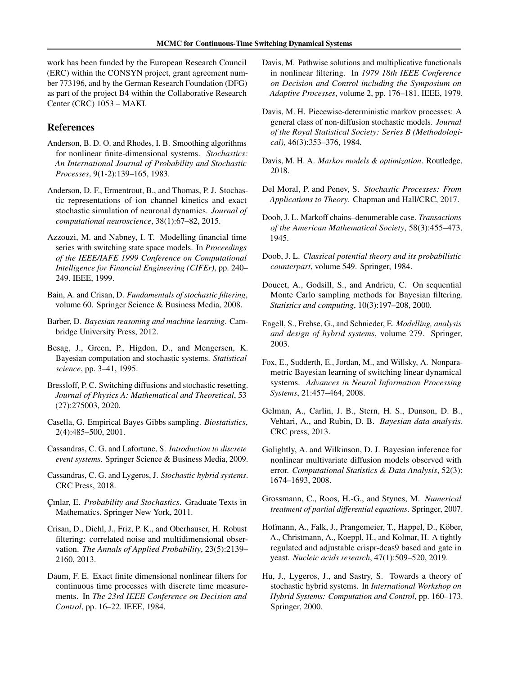work has been funded by the European Research Council (ERC) within the CONSYN project, grant agreement number 773196, and by the German Research Foundation (DFG) as part of the project B4 within the Collaborative Research Center (CRC) 1053 – MAKI.

#### References

- <span id="page-8-22"></span>Anderson, B. D. O. and Rhodes, I. B. Smoothing algorithms for nonlinear finite-dimensional systems. *Stochastics: An International Journal of Probability and Stochastic Processes*, 9(1-2):139–165, 1983.
- <span id="page-8-1"></span>Anderson, D. F., Ermentrout, B., and Thomas, P. J. Stochastic representations of ion channel kinetics and exact stochastic simulation of neuronal dynamics. *Journal of computational neuroscience*, 38(1):67–82, 2015.
- <span id="page-8-2"></span>Azzouzi, M. and Nabney, I. T. Modelling financial time series with switching state space models. In *Proceedings of the IEEE/IAFE 1999 Conference on Computational Intelligence for Financial Engineering (CIFEr)*, pp. 240– 249. IEEE, 1999.
- <span id="page-8-8"></span>Bain, A. and Crisan, D. *Fundamentals of stochastic filtering*, volume 60. Springer Science & Business Media, 2008.
- <span id="page-8-16"></span>Barber, D. *Bayesian reasoning and machine learning*. Cambridge University Press, 2012.
- <span id="page-8-17"></span>Besag, J., Green, P., Higdon, D., and Mengersen, K. Bayesian computation and stochastic systems. *Statistical science*, pp. 3–41, 1995.
- <span id="page-8-0"></span>Bressloff, P. C. Switching diffusions and stochastic resetting. *Journal of Physics A: Mathematical and Theoretical*, 53 (27):275003, 2020.
- <span id="page-8-25"></span>Casella, G. Empirical Bayes Gibbs sampling. *Biostatistics*, 2(4):485–500, 2001.
- <span id="page-8-15"></span>Cassandras, C. G. and Lafortune, S. *Introduction to discrete event systems*. Springer Science & Business Media, 2009.
- <span id="page-8-7"></span>Cassandras, C. G. and Lygeros, J. *Stochastic hybrid systems*. CRC Press, 2018.
- <span id="page-8-11"></span>Çınlar, E. *Probability and Stochastics*. Graduate Texts in Mathematics. Springer New York, 2011.
- <span id="page-8-19"></span>Crisan, D., Diehl, J., Friz, P. K., and Oberhauser, H. Robust filtering: correlated noise and multidimensional observation. *The Annals of Applied Probability*, 23(5):2139– 2160, 2013.
- <span id="page-8-14"></span>Daum, F. E. Exact finite dimensional nonlinear filters for continuous time processes with discrete time measurements. In *The 23rd IEEE Conference on Decision and Control*, pp. 16–22. IEEE, 1984.
- <span id="page-8-20"></span>Davis, M. Pathwise solutions and multiplicative functionals in nonlinear filtering. In *1979 18th IEEE Conference on Decision and Control including the Symposium on Adaptive Processes*, volume 2, pp. 176–181. IEEE, 1979.
- <span id="page-8-3"></span>Davis, M. H. Piecewise-deterministic markov processes: A general class of non-diffusion stochastic models. *Journal of the Royal Statistical Society: Series B (Methodological)*, 46(3):353–376, 1984.
- <span id="page-8-6"></span>Davis, M. H. A. *Markov models & optimization*. Routledge, 2018.
- <span id="page-8-21"></span>Del Moral, P. and Penev, S. *Stochastic Processes: From Applications to Theory*. Chapman and Hall/CRC, 2017.
- <span id="page-8-13"></span>Doob, J. L. Markoff chains–denumerable case. *Transactions of the American Mathematical Society*, 58(3):455–473, 1945.
- <span id="page-8-18"></span>Doob, J. L. *Classical potential theory and its probabilistic counterpart*, volume 549. Springer, 1984.
- <span id="page-8-9"></span>Doucet, A., Godsill, S., and Andrieu, C. On sequential Monte Carlo sampling methods for Bayesian filtering. *Statistics and computing*, 10(3):197–208, 2000.
- <span id="page-8-5"></span>Engell, S., Frehse, G., and Schnieder, E. *Modelling, analysis and design of hybrid systems*, volume 279. Springer, 2003.
- <span id="page-8-10"></span>Fox, E., Sudderth, E., Jordan, M., and Willsky, A. Nonparametric Bayesian learning of switching linear dynamical systems. *Advances in Neural Information Processing Systems*, 21:457–464, 2008.
- <span id="page-8-23"></span>Gelman, A., Carlin, J. B., Stern, H. S., Dunson, D. B., Vehtari, A., and Rubin, D. B. *Bayesian data analysis*. CRC press, 2013.
- <span id="page-8-24"></span>Golightly, A. and Wilkinson, D. J. Bayesian inference for nonlinear multivariate diffusion models observed with error. *Computational Statistics & Data Analysis*, 52(3): 1674–1693, 2008.
- <span id="page-8-12"></span>Grossmann, C., Roos, H.-G., and Stynes, M. *Numerical treatment of partial differential equations*. Springer, 2007.
- <span id="page-8-26"></span>Hofmann, A., Falk, J., Prangemeier, T., Happel, D., Köber, A., Christmann, A., Koeppl, H., and Kolmar, H. A tightly regulated and adjustable crispr-dcas9 based and gate in yeast. *Nucleic acids research*, 47(1):509–520, 2019.
- <span id="page-8-4"></span>Hu, J., Lygeros, J., and Sastry, S. Towards a theory of stochastic hybrid systems. In *International Workshop on Hybrid Systems: Computation and Control*, pp. 160–173. Springer, 2000.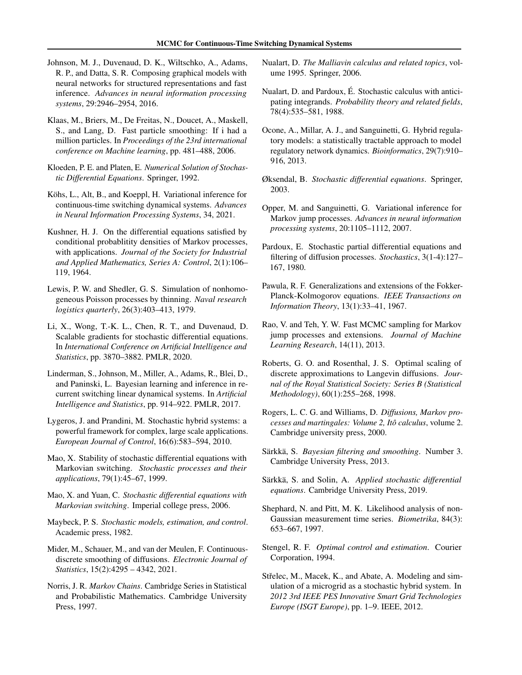- <span id="page-9-7"></span>Johnson, M. J., Duvenaud, D. K., Wiltschko, A., Adams, R. P., and Datta, S. R. Composing graphical models with neural networks for structured representations and fast inference. *Advances in neural information processing systems*, 29:2946–2954, 2016.
- <span id="page-9-27"></span>Klaas, M., Briers, M., De Freitas, N., Doucet, A., Maskell, S., and Lang, D. Fast particle smoothing: If i had a million particles. In *Proceedings of the 23rd international conference on Machine learning*, pp. 481–488, 2006.
- <span id="page-9-12"></span>Kloeden, P. E. and Platen, E. *Numerical Solution of Stochastic Differential Equations*. Springer, 1992.
- <span id="page-9-8"></span>Köhs, L., Alt, B., and Koeppl, H. Variational inference for continuous-time switching dynamical systems. *Advances in Neural Information Processing Systems*, 34, 2021.
- <span id="page-9-17"></span>Kushner, H. J. On the differential equations satisfied by conditional probablitity densities of Markov processes, with applications. *Journal of the Society for Industrial and Applied Mathematics, Series A: Control*, 2(1):106– 119, 1964.
- <span id="page-9-22"></span>Lewis, P. W. and Shedler, G. S. Simulation of nonhomogeneous Poisson processes by thinning. *Naval research logistics quarterly*, 26(3):403–413, 1979.
- <span id="page-9-28"></span>Li, X., Wong, T.-K. L., Chen, R. T., and Duvenaud, D. Scalable gradients for stochastic differential equations. In *International Conference on Artificial Intelligence and Statistics*, pp. 3870–3882. PMLR, 2020.
- <span id="page-9-6"></span>Linderman, S., Johnson, M., Miller, A., Adams, R., Blei, D., and Paninski, L. Bayesian learning and inference in recurrent switching linear dynamical systems. In *Artificial Intelligence and Statistics*, pp. 914–922. PMLR, 2017.
- <span id="page-9-0"></span>Lygeros, J. and Prandini, M. Stochastic hybrid systems: a powerful framework for complex, large scale applications. *European Journal of Control*, 16(6):583–594, 2010.
- <span id="page-9-23"></span>Mao, X. Stability of stochastic differential equations with Markovian switching. *Stochastic processes and their applications*, 79(1):45–67, 1999.
- <span id="page-9-2"></span>Mao, X. and Yuan, C. *Stochastic differential equations with Markovian switching*. Imperial college press, 2006.
- <span id="page-9-13"></span>Maybeck, P. S. *Stochastic models, estimation, and control*. Academic press, 1982.
- <span id="page-9-15"></span>Mider, M., Schauer, M., and van der Meulen, F. Continuousdiscrete smoothing of diffusions. *Electronic Journal of Statistics*, 15(2):4295 – 4342, 2021.
- <span id="page-9-9"></span>Norris, J. R. *Markov Chains*. Cambridge Series in Statistical and Probabilistic Mathematics. Cambridge University Press, 1997.
- <span id="page-9-20"></span>Nualart, D. *The Malliavin calculus and related topics*, volume 1995. Springer, 2006.
- <span id="page-9-19"></span>Nualart, D. and Pardoux, É. Stochastic calculus with anticipating integrands. *Probability theory and related fields*, 78(4):535–581, 1988.
- <span id="page-9-26"></span>Ocone, A., Millar, A. J., and Sanguinetti, G. Hybrid regulatory models: a statistically tractable approach to model regulatory network dynamics. *Bioinformatics*, 29(7):910– 916, 2013.
- <span id="page-9-21"></span>Øksendal, B. *Stochastic differential equations*. Springer, 2003.
- <span id="page-9-5"></span>Opper, M. and Sanguinetti, G. Variational inference for Markov jump processes. *Advances in neural information processing systems*, 20:1105–1112, 2007.
- <span id="page-9-18"></span>Pardoux, E. Stochastic partial differential equations and filtering of diffusion processes. *Stochastics*, 3(1-4):127– 167, 1980.
- <span id="page-9-11"></span>Pawula, R. F. Generalizations and extensions of the Fokker-Planck-Kolmogorov equations. *IEEE Transactions on Information Theory*, 13(1):33–41, 1967.
- <span id="page-9-4"></span>Rao, V. and Teh, Y. W. Fast MCMC sampling for Markov jump processes and extensions. *Journal of Machine Learning Research*, 14(11), 2013.
- <span id="page-9-24"></span>Roberts, G. O. and Rosenthal, J. S. Optimal scaling of discrete approximations to Langevin diffusions. *Journal of the Royal Statistical Society: Series B (Statistical Methodology)*, 60(1):255–268, 1998.
- <span id="page-9-14"></span>Rogers, L. C. G. and Williams, D. *Diffusions, Markov processes and martingales: Volume 2, Itô calculus*, volume 2. Cambridge university press, 2000.
- <span id="page-9-3"></span>Särkkä, S. *Bayesian filtering and smoothing*. Number 3. Cambridge University Press, 2013.
- <span id="page-9-10"></span>Särkkä, S. and Solin, A. *Applied stochastic differential equations*. Cambridge University Press, 2019.
- <span id="page-9-25"></span>Shephard, N. and Pitt, M. K. Likelihood analysis of non-Gaussian measurement time series. *Biometrika*, 84(3): 653–667, 1997.
- <span id="page-9-16"></span>Stengel, R. F. *Optimal control and estimation*. Courier Corporation, 1994.
- <span id="page-9-1"></span>Střelec, M., Macek, K., and Abate, A. Modeling and simulation of a microgrid as a stochastic hybrid system. In *2012 3rd IEEE PES Innovative Smart Grid Technologies Europe (ISGT Europe)*, pp. 1–9. IEEE, 2012.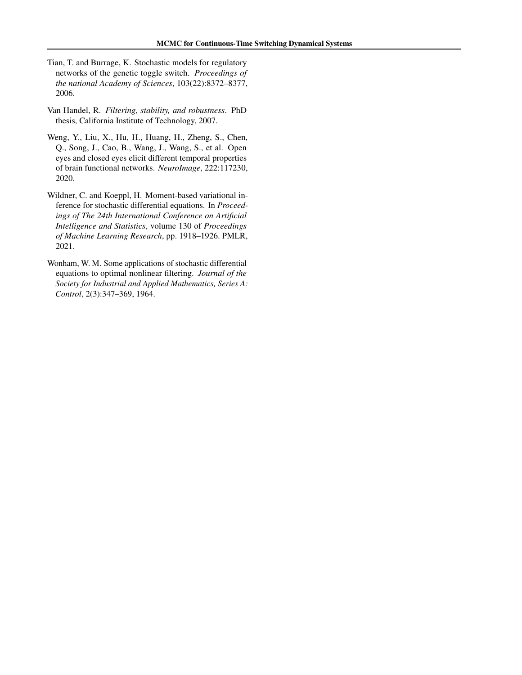- <span id="page-10-1"></span>Tian, T. and Burrage, K. Stochastic models for regulatory networks of the genetic toggle switch. *Proceedings of the national Academy of Sciences*, 103(22):8372–8377, 2006.
- <span id="page-10-2"></span>Van Handel, R. *Filtering, stability, and robustness*. PhD thesis, California Institute of Technology, 2007.
- <span id="page-10-0"></span>Weng, Y., Liu, X., Hu, H., Huang, H., Zheng, S., Chen, Q., Song, J., Cao, B., Wang, J., Wang, S., et al. Open eyes and closed eyes elicit different temporal properties of brain functional networks. *NeuroImage*, 222:117230, 2020.
- <span id="page-10-3"></span>Wildner, C. and Koeppl, H. Moment-based variational inference for stochastic differential equations. In *Proceedings of The 24th International Conference on Artificial Intelligence and Statistics*, volume 130 of *Proceedings of Machine Learning Research*, pp. 1918–1926. PMLR, 2021.
- <span id="page-10-4"></span>Wonham, W. M. Some applications of stochastic differential equations to optimal nonlinear filtering. *Journal of the Society for Industrial and Applied Mathematics, Series A: Control*, 2(3):347–369, 1964.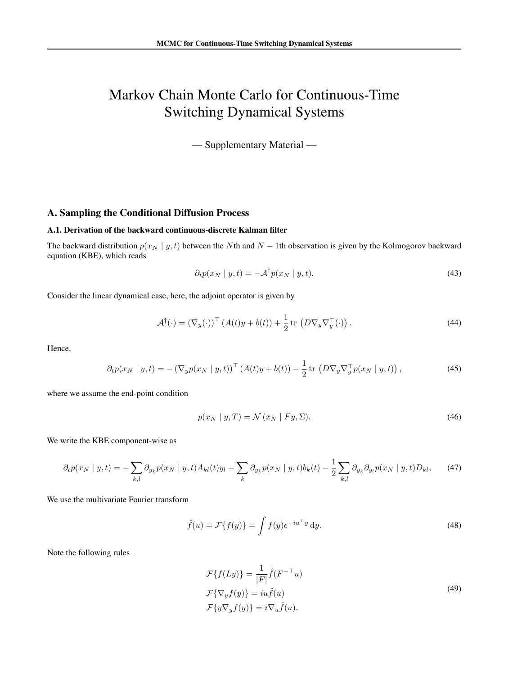# Markov Chain Monte Carlo for Continuous-Time Switching Dynamical Systems

— Supplementary Material —

## A. Sampling the Conditional Diffusion Process

## <span id="page-11-0"></span>A.1. Derivation of the backward continuous-discrete Kalman filter

The backward distribution  $p(x_N | y, t)$  between the Nth and N – 1th observation is given by the Kolmogorov backward equation (KBE), which reads

$$
\partial_t p(x_N \mid y, t) = -\mathcal{A}^\dagger p(x_N \mid y, t). \tag{43}
$$

Consider the linear dynamical case, here, the adjoint operator is given by

$$
\mathcal{A}^{\dagger}(\cdot) = \left(\nabla_y(\cdot)\right)^{\top} \left(A(t)y + b(t)\right) + \frac{1}{2} \operatorname{tr}\left(D\nabla_y \nabla_y^{\top}(\cdot)\right). \tag{44}
$$

Hence,

$$
\partial_t p(x_N \mid y, t) = -\left(\nabla_y p(x_N \mid y, t)\right)^\top \left(A(t)y + b(t)\right) - \frac{1}{2} \operatorname{tr}\left(D\nabla_y \nabla_y^\top p(x_N \mid y, t)\right),\tag{45}
$$

where we assume the end-point condition

$$
p(x_N \mid y, T) = \mathcal{N}(x_N \mid Fy, \Sigma). \tag{46}
$$

We write the KBE component-wise as

$$
\partial_t p(x_N \mid y, t) = -\sum_{k,l} \partial_{y_k} p(x_N \mid y, t) A_{kl}(t) y_l - \sum_k \partial_{y_k} p(x_N \mid y, t) b_k(t) - \frac{1}{2} \sum_{k,l} \partial_{y_k} \partial_{y_l} p(x_N \mid y, t) D_{kl}, \tag{47}
$$

We use the multivariate Fourier transform

$$
\hat{f}(u) = \mathcal{F}\{f(y)\} = \int f(y)e^{-iu^{\top}y} dy.
$$
\n(48)

Note the following rules

$$
\mathcal{F}{f(Ly)} = \frac{1}{|F|}\hat{f}(F^{-\top}u)
$$
  

$$
\mathcal{F}{\nabla_y f(y)} = iu\hat{f}(u)
$$
  

$$
\mathcal{F}{y\nabla_y f(y)} = i\nabla_u \hat{f}(u).
$$
 (49)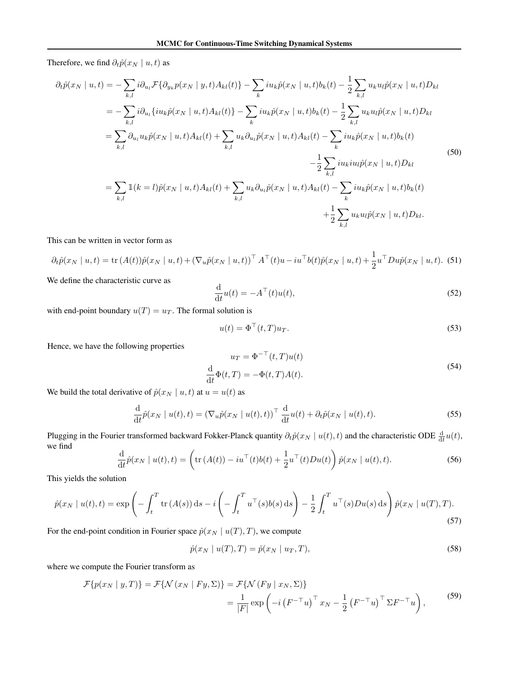Therefore, we find  $\partial_t \hat{p}(x_N | u, t)$  as

$$
\partial_{t}\hat{p}(x_{N} | u, t) = -\sum_{k,l} i \partial_{u_{l}} \mathcal{F} \{ \partial_{y_{k}} p(x_{N} | y, t) A_{kl}(t) \} - \sum_{k} i u_{k} \hat{p}(x_{N} | u, t) b_{k}(t) - \frac{1}{2} \sum_{k,l} u_{k} u_{l} \hat{p}(x_{N} | u, t) D_{kl} \n= -\sum_{k,l} i \partial_{u_{l}} \{ i u_{k} \hat{p}(x_{N} | u, t) A_{kl}(t) \} - \sum_{k} i u_{k} \hat{p}(x_{N} | u, t) b_{k}(t) - \frac{1}{2} \sum_{k,l} u_{k} u_{l} \hat{p}(x_{N} | u, t) D_{kl} \n= \sum_{k,l} \partial_{u_{l}} u_{k} \hat{p}(x_{N} | u, t) A_{kl}(t) + \sum_{k,l} u_{k} \partial_{u_{l}} \hat{p}(x_{N} | u, t) A_{kl}(t) - \sum_{k} i u_{k} \hat{p}(x_{N} | u, t) b_{k}(t) \n- \frac{1}{2} \sum_{k,l} i u_{k} i u_{l} \hat{p}(x_{N} | u, t) D_{kl} \n= \sum_{k,l} \mathbb{1}(k = l) \hat{p}(x_{N} | u, t) A_{kl}(t) + \sum_{k,l} u_{k} \partial_{u_{l}} \hat{p}(x_{N} | u, t) A_{kl}(t) - \sum_{k} i u_{k} \hat{p}(x_{N} | u, t) b_{k}(t) \n+ \frac{1}{2} \sum_{k,l} u_{k} u_{l} \hat{p}(x_{N} | u, t) D_{kl}.
$$
\n(50)

This can be written in vector form as

$$
\partial_t \hat{p}(x_N \mid u, t) = \text{tr}(A(t))\hat{p}(x_N \mid u, t) + (\nabla_u \hat{p}(x_N \mid u, t))^{\top} A^{\top}(t)u - i u^{\top} b(t)\hat{p}(x_N \mid u, t) + \frac{1}{2} u^{\top} D u \hat{p}(x_N \mid u, t). \tag{51}
$$

We define the characteristic curve as

$$
\frac{\mathrm{d}}{\mathrm{d}t}u(t) = -A^{\top}(t)u(t),\tag{52}
$$

with end-point boundary  $u(T) = u_T$ . The formal solution is

$$
u(t) = \Phi^{\top}(t, T)u_T.
$$
\n(53)

Hence, we have the following properties

$$
u_T = \Phi^{-\top}(t, T)u(t)
$$
  
\n
$$
\frac{d}{dt}\Phi(t, T) = -\Phi(t, T)A(t).
$$
\n(54)

We build the total derivative of  $\hat{p}(x_N \mid u, t)$  at  $u = u(t)$  as

$$
\frac{\mathrm{d}}{\mathrm{d}t}\hat{p}(x_N \mid u(t), t) = \left(\nabla_u \hat{p}(x_N \mid u(t), t)\right)^\top \frac{\mathrm{d}}{\mathrm{d}t} u(t) + \partial_t \hat{p}(x_N \mid u(t), t). \tag{55}
$$

Plugging in the Fourier transformed backward Fokker-Planck quantity  $\partial_t \hat{p}(x_N | u(t), t)$  and the characteristic ODE  $\frac{d}{dt}u(t)$ , we find

$$
\frac{\mathrm{d}}{\mathrm{d}t}\hat{p}(x_N \mid u(t), t) = \left(\mathrm{tr}\left(A(t)\right) - iu^\top(t)b(t) + \frac{1}{2}u^\top(t)Du(t)\right)\hat{p}(x_N \mid u(t), t). \tag{56}
$$

This yields the solution

$$
\hat{p}(x_N \mid u(t), t) = \exp\left(-\int_t^T \text{tr}\left(A(s)\right) \text{d}s - i\left(-\int_t^T u^\top(s)b(s) \,\text{d}s\right) - \frac{1}{2} \int_t^T u^\top(s)Du(s) \,\text{d}s\right) \hat{p}(x_N \mid u(T), T). \tag{57}
$$

For the end-point condition in Fourier space  $\hat{p}(x_N | u(T), T)$ , we compute

$$
\hat{p}(x_N \mid u(T), T) = \hat{p}(x_N \mid u_T, T), \tag{58}
$$

where we compute the Fourier transform as

$$
\mathcal{F}\{p(x_N \mid y, T)\} = \mathcal{F}\{\mathcal{N}(x_N \mid Fy, \Sigma)\} = \mathcal{F}\{\mathcal{N}(Fy \mid x_N, \Sigma)\}
$$

$$
= \frac{1}{|F|} \exp\left(-i\left(F^{-\top}u\right)^{\top} x_N - \frac{1}{2}\left(F^{-\top}u\right)^{\top} \Sigma F^{-\top}u\right), \tag{59}
$$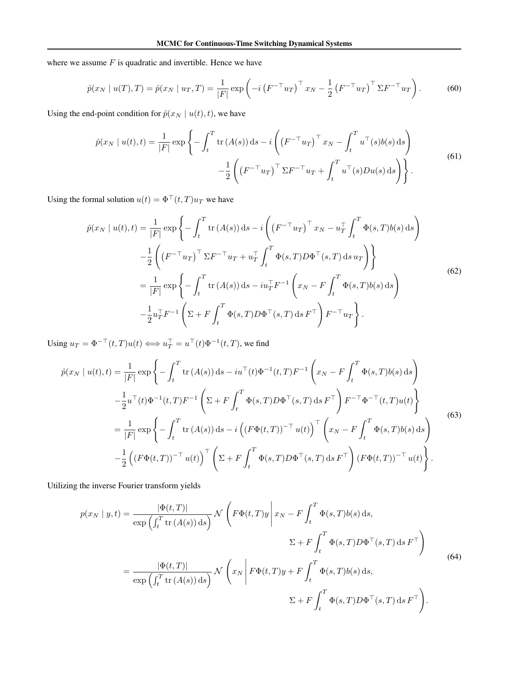where we assume  $F$  is quadratic and invertible. Hence we have

$$
\hat{p}(x_N \mid u(T), T) = \hat{p}(x_N \mid u_T, T) = \frac{1}{|F|} \exp\left(-i\left(F^{-\top} u_T\right)^\top x_N - \frac{1}{2}\left(F^{-\top} u_T\right)^\top \Sigma F^{-\top} u_T\right). \tag{60}
$$

Using the end-point condition for  $\hat{p}(x_N | u(t), t)$ , we have

$$
\hat{p}(x_N \mid u(t), t) = \frac{1}{|F|} \exp\left\{-\int_t^T \text{tr}\left(A(s)\right) \text{d}s - i\left(\left(F^{-\top} u_T\right)^\top x_N - \int_t^T u^\top(s) b(s) \text{d}s\right) - \frac{1}{2}\left(\left(F^{-\top} u_T\right)^\top \Sigma F^{-\top} u_T + \int_t^T u^\top(s) D u(s) \text{d}s\right)\right\}.
$$
\n(61)

Using the formal solution  $u(t) = \Phi^\top(t, T) u_T$  we have

$$
\hat{p}(x_N \mid u(t), t) = \frac{1}{|F|} \exp \left\{ -\int_t^T \text{tr} (A(s)) \, \text{d}s - i \left( \left( F^{-\top} u_T \right)^\top x_N - u_T^\top \int_t^T \Phi(s, T) b(s) \, \text{d}s \right) \right\} \n- \frac{1}{2} \left( \left( F^{-\top} u_T \right)^\top \Sigma F^{-\top} u_T + u_T^\top \int_t^T \Phi(s, T) D \Phi^\top(s, T) \, \text{d}s \, u_T \right) \right\} \n= \frac{1}{|F|} \exp \left\{ - \int_t^T \text{tr} (A(s)) \, \text{d}s - i u_T^\top F^{-1} \left( x_N - F \int_t^T \Phi(s, T) b(s) \, \text{d}s \right) \right. \n- \frac{1}{2} u_T^\top F^{-1} \left( \Sigma + F \int_t^T \Phi(s, T) D \Phi^\top(s, T) \, \text{d}s \, F^\top \right) F^{-\top} u_T \right\}.
$$
\n(62)

Using  $u_T = \Phi^{-\top}(t, T)u(t) \Longleftrightarrow u_T^{\top} = u^{\top}(t)\Phi^{-1}(t, T)$ , we find

$$
\hat{p}(x_N \mid u(t), t) = \frac{1}{|F|} \exp \left\{ - \int_t^T \text{tr}\,(A(s)) \,ds - iu^\top(t) \Phi^{-1}(t, T) F^{-1} \left( x_N - F \int_t^T \Phi(s, T) b(s) \,ds \right) \right\} \n- \frac{1}{2} u^\top(t) \Phi^{-1}(t, T) F^{-1} \left( \Sigma + F \int_t^T \Phi(s, T) D \Phi^\top(s, T) \,ds \,F^\top \right) F^{-\top} \Phi^{-\top}(t, T) u(t) \right\} \n= \frac{1}{|F|} \exp \left\{ - \int_t^T \text{tr}\,(A(s)) \,ds - i \left( (F \Phi(t, T))^{-\top} u(t) \right)^\top \left( x_N - F \int_t^T \Phi(s, T) b(s) \,ds \right) \right\} \n- \frac{1}{2} \left( (F \Phi(t, T))^{-\top} u(t) \right)^\top \left( \Sigma + F \int_t^T \Phi(s, T) D \Phi^\top(s, T) \,ds \,F^\top \right) (F \Phi(t, T))^{-\top} u(t) \right\}.
$$
\n(63)

Utilizing the inverse Fourier transform yields

$$
p(x_N \mid y, t) = \frac{|\Phi(t, T)|}{\exp\left(\int_t^T \text{tr}\left(A(s)\right) \text{d}s\right)} \mathcal{N}\left(F\Phi(t, T)y \middle| x_N - F \int_t^T \Phi(s, T)b(s) \text{d}s,\right)
$$
  

$$
\Sigma + F \int_t^T \Phi(s, T)D\Phi^\top(s, T) \text{d}s F^\top\right)
$$
  

$$
= \frac{|\Phi(t, T)|}{\exp\left(\int_t^T \text{tr}\left(A(s)\right) \text{d}s\right)} \mathcal{N}\left(x_N \middle| F\Phi(t, T)y + F \int_t^T \Phi(s, T)b(s) \text{d}s,\right)
$$
  

$$
\Sigma + F \int_t^T \Phi(s, T)D\Phi^\top(s, T) \text{d}s F^\top\right).
$$
  
(64)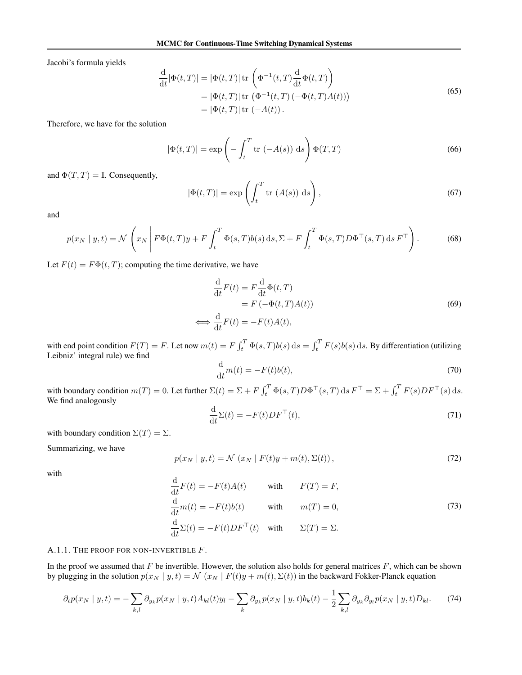Jacobi's formula yields

$$
\frac{\mathrm{d}}{\mathrm{d}t}|\Phi(t,T)| = |\Phi(t,T)| \operatorname{tr}\left(\Phi^{-1}(t,T)\frac{\mathrm{d}}{\mathrm{d}t}\Phi(t,T)\right)
$$
\n
$$
= |\Phi(t,T)| \operatorname{tr}\left(\Phi^{-1}(t,T)(-\Phi(t,T)A(t))\right)
$$
\n
$$
= |\Phi(t,T)| \operatorname{tr}\left(-A(t)\right). \tag{65}
$$

Therefore, we have for the solution

$$
|\Phi(t,T)| = \exp\left(-\int_t^T \text{tr}(-A(s)) \, \mathrm{d}s\right) \Phi(T,T) \tag{66}
$$

and  $\Phi(T, T) = \mathbb{I}$ . Consequently,

$$
|\Phi(t,T)| = \exp\left(\int_t^T \text{tr}\left(A(s)\right) \, \text{d}s\right),\tag{67}
$$

and

$$
p(x_N \mid y, t) = \mathcal{N}\left(x_N \mid F\Phi(t, T)y + F\int_t^T \Phi(s, T)b(s) \, ds, \Sigma + F\int_t^T \Phi(s, T)D\Phi^\top(s, T) \, ds \, F^\top\right). \tag{68}
$$

Let  $F(t) = F\Phi(t, T)$ ; computing the time derivative, we have

$$
\frac{d}{dt}F(t) = F\frac{d}{dt}\Phi(t,T)
$$
  
=  $F(-\Phi(t,T)A(t))$   

$$
\iff \frac{d}{dt}F(t) = -F(t)A(t),
$$
 (69)

with end point condition  $F(T) = F$ . Let now  $m(t) = F \int_t^T \Phi(s, T) b(s) ds = \int_t^T F(s) b(s) ds$ . By differentiation (utilizing Leibniz' integral rule) we find

$$
\frac{\mathrm{d}}{\mathrm{d}t}m(t) = -F(t)b(t),\tag{70}
$$

with boundary condition  $m(T) = 0$ . Let further  $\Sigma(t) = \Sigma + F \int_t^T \Phi(s, T) D\Phi^\top(s, T) ds F^\top = \Sigma + \int_t^T F(s) DF^\top(s) ds$ . We find analogously

$$
\frac{\mathrm{d}}{\mathrm{d}t} \Sigma(t) = -F(t)DF^{\top}(t),\tag{71}
$$

with boundary condition  $\Sigma(T) = \Sigma$ .

Summarizing, we have

$$
p(x_N \mid y, t) = \mathcal{N}(x_N \mid F(t)y + m(t), \Sigma(t)), \qquad (72)
$$

with

$$
\frac{d}{dt}F(t) = -F(t)A(t) \qquad \text{with} \qquad F(T) = F,
$$
\n
$$
\frac{d}{dt}m(t) = -F(t)b(t) \qquad \text{with} \qquad m(T) = 0,
$$
\n
$$
\frac{d}{dt}\Sigma(t) = -F(t)DF^{\top}(t) \qquad \text{with} \qquad \Sigma(T) = \Sigma.
$$
\n(73)

#### A.1.1. THE PROOF FOR NON-INVERTIBLE  $F$ .

In the proof we assumed that  $F$  be invertible. However, the solution also holds for general matrices  $F$ , which can be shown by plugging in the solution  $p(x_N | y, t) = \mathcal{N}(x_N | F(t)y + m(t), \Sigma(t))$  in the backward Fokker-Planck equation

$$
\partial_t p(x_N \mid y, t) = -\sum_{k,l} \partial_{y_k} p(x_N \mid y, t) A_{kl}(t) y_l - \sum_k \partial_{y_k} p(x_N \mid y, t) b_k(t) - \frac{1}{2} \sum_{k,l} \partial_{y_k} \partial_{y_l} p(x_N \mid y, t) D_{kl}.\tag{74}
$$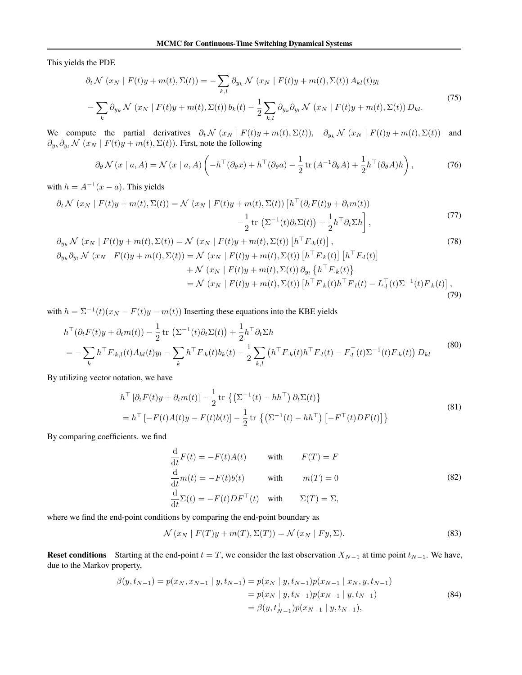This yields the PDE

$$
\partial_t \mathcal{N}(x_N \mid F(t)y + m(t), \Sigma(t)) = -\sum_{k,l} \partial_{y_k} \mathcal{N}(x_N \mid F(t)y + m(t), \Sigma(t)) A_{kl}(t)y_l
$$

$$
-\sum_k \partial_{y_k} \mathcal{N}(x_N \mid F(t)y + m(t), \Sigma(t)) b_k(t) - \frac{1}{2} \sum_{k,l} \partial_{y_k} \partial_{y_l} \mathcal{N}(x_N \mid F(t)y + m(t), \Sigma(t)) D_{kl}.
$$
\n(75)

We compute the partial derivatives  $\partial_t \mathcal{N}(x_N | F(t)y + m(t), \Sigma(t)), \partial_{y_k} \mathcal{N}(x_N | F(t)y + m(t), \Sigma(t))$  and  $\partial_{y_k} \partial_{y_l} \mathcal{N}(x_N \mid F(t)y + m(t), \Sigma(t))$ . First, note the following

$$
\partial_{\theta} \mathcal{N}(x \mid a, A) = \mathcal{N}(x \mid a, A) \left( -h^{\top}(\partial_{\theta} x) + h^{\top}(\partial_{\theta} a) - \frac{1}{2} \operatorname{tr} (A^{-1}\partial_{\theta} A) + \frac{1}{2} h^{\top}(\partial_{\theta} A)h \right), \tag{76}
$$

with  $h = A^{-1}(x - a)$ . This yields

$$
\partial_t \mathcal{N}(x_N \mid F(t)y + m(t), \Sigma(t)) = \mathcal{N}(x_N \mid F(t)y + m(t), \Sigma(t)) \left[ h^\top (\partial_t F(t)y + \partial_t m(t)) - \frac{1}{2} \operatorname{tr} \left( \Sigma^{-1}(t) \partial_t \Sigma(t) \right) + \frac{1}{2} h^\top \partial_t \Sigma h \right], \tag{77}
$$

$$
\partial_{y_k} \mathcal{N} (x_N | F(t)y + m(t), \Sigma(t)) = \mathcal{N} (x_N | F(t)y + m(t), \Sigma(t)) [h^{\top} F_{\cdot k}(t)],
$$
\n
$$
\partial_{y_k} \partial_{y_l} \mathcal{N} (x_N | F(t)y + m(t), \Sigma(t)) = \mathcal{N} (x_N | F(t)y + m(t), \Sigma(t)) [h^{\top} F_{\cdot k}(t)] [h^{\top} F_{\cdot l}(t)]
$$
\n
$$
+ \mathcal{N} (x_N | F(t)y + m(t), \Sigma(t)) \partial_{y_l} \{h^{\top} F_{\cdot k}(t)\}
$$
\n
$$
= \mathcal{N} (x_N | F(t)y + m(t), \Sigma(t)) [h^{\top} F_{\cdot k}(t)h^{\top} F_{\cdot l}(t) - L_{\cdot l}^{\top}(t) \Sigma^{-1}(t) F_{\cdot k}(t)],
$$
\n(79)

with  $h = \Sigma^{-1}(t)(x_N - F(t)y - m(t))$  Inserting these equations into the KBE yields

$$
h^{\top}(\partial_{t}F(t)y + \partial_{t}m(t)) - \frac{1}{2}\operatorname{tr}\left(\Sigma^{-1}(t)\partial_{t}\Sigma(t)\right) + \frac{1}{2}h^{\top}\partial_{t}\Sigma h
$$
  
=  $-\sum_{k} h^{\top}F_{k,l}(t)A_{kl}(t)y_{l} - \sum_{k} h^{\top}F_{k}(t)b_{k}(t) - \frac{1}{2}\sum_{k,l} \left(h^{\top}F_{k}(t)h^{\top}F_{l}(t) - F_{l}^{\top}(t)\Sigma^{-1}(t)F_{k}(t)\right)D_{kl}$  (80)

By utilizing vector notation, we have

$$
h^{\top} \left[\partial_t F(t)y + \partial_t m(t)\right] - \frac{1}{2} \operatorname{tr} \left\{ \left(\Sigma^{-1}(t) - h h^{\top}\right) \partial_t \Sigma(t) \right\}
$$
  
=  $h^{\top} \left[ -F(t)A(t)y - F(t)b(t) \right] - \frac{1}{2} \operatorname{tr} \left\{ \left(\Sigma^{-1}(t) - h h^{\top}\right) \left[ -F^{\top}(t)DF(t) \right] \right\}$  (81)

By comparing coefficients. we find

$$
\frac{d}{dt}F(t) = -F(t)A(t) \qquad \text{with} \qquad F(T) = F
$$
\n
$$
\frac{d}{dt}m(t) = -F(t)b(t) \qquad \text{with} \qquad m(T) = 0
$$
\n
$$
\frac{d}{dt}\Sigma(t) = -F(t)DF^{\top}(t) \qquad \text{with} \qquad \Sigma(T) = \Sigma,
$$
\n(82)

where we find the end-point conditions by comparing the end-point boundary as

$$
\mathcal{N}(x_N \mid F(T)y + m(T), \Sigma(T)) = \mathcal{N}(x_N \mid Fy, \Sigma). \tag{83}
$$

Reset conditions Starting at the end-point  $t = T$ , we consider the last observation  $X_{N-1}$  at time point  $t_{N-1}$ . We have, due to the Markov property,

$$
\beta(y, t_{N-1}) = p(x_N, x_{N-1} | y, t_{N-1}) = p(x_N | y, t_{N-1}) p(x_{N-1} | x_N, y, t_{N-1})
$$
  
=  $p(x_N | y, t_{N-1}) p(x_{N-1} | y, t_{N-1})$   
=  $\beta(y, t_{N-1}^+) p(x_{N-1} | y, t_{N-1}),$  (84)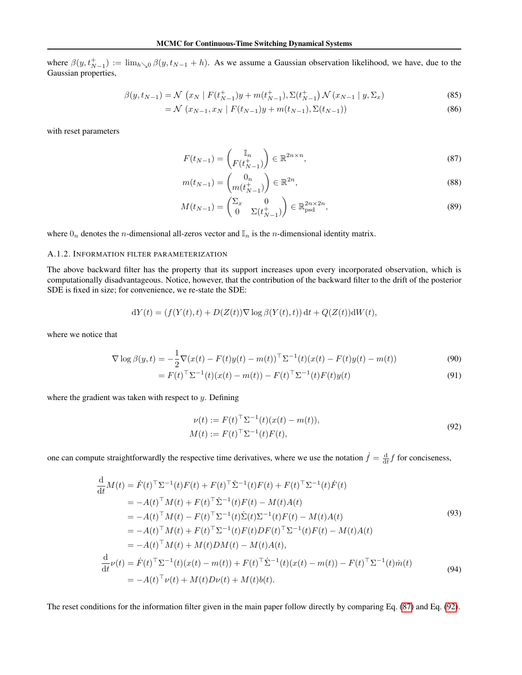where  $\beta(y, t_{N-1}^+) := \lim_{h \searrow 0} \beta(y, t_{N-1} + h)$ . As we assume a Gaussian observation likelihood, we have, due to the Gaussian properties,

$$
\beta(y, t_{N-1}) = \mathcal{N}\left(x_N \mid F(t_{N-1}^+)y + m(t_{N-1}^+), \Sigma(t_{N-1}^+) \mathcal{N}(x_{N-1} \mid y, \Sigma_x)\right)
$$
\n(85)

$$
= \mathcal{N} \left( x_{N-1}, x_N \mid F(t_{N-1})y + m(t_{N-1}), \Sigma(t_{N-1}) \right) \tag{86}
$$

with reset parameters

<span id="page-16-0"></span>
$$
F(t_{N-1}) = \begin{pmatrix} \mathbb{I}_n \\ F(t_{N-1}^+) \end{pmatrix} \in \mathbb{R}^{2n \times n},\tag{87}
$$

$$
m(t_{N-1}) = \begin{pmatrix} 0_n \\ m(t_{N-1}^+) \end{pmatrix} \in \mathbb{R}^{2n},
$$
\n(88)

$$
M(t_{N-1}) = \begin{pmatrix} \Sigma_x & 0\\ 0 & \Sigma(t_{N-1}^+) \end{pmatrix} \in \mathbb{R}^{2n \times 2n}_{\text{psd}},
$$
\n(89)

where  $0_n$  denotes the *n*-dimensional all-zeros vector and  $\mathbb{I}_n$  is the *n*-dimensional identity matrix.

#### A.1.2. INFORMATION FILTER PARAMETERIZATION

The above backward filter has the property that its support increases upon every incorporated observation, which is computationally disadvantageous. Notice, however, that the contribution of the backward filter to the drift of the posterior SDE is fixed in size; for convenience, we re-state the SDE:

$$
dY(t) = (f(Y(t), t) + D(Z(t))\nabla \log \beta(Y(t), t)) dt + Q(Z(t))dW(t),
$$

where we notice that

$$
\nabla \log \beta(y, t) = -\frac{1}{2} \nabla (x(t) - F(t)y(t) - m(t))^\top \Sigma^{-1}(t) (x(t) - F(t)y(t) - m(t)) \tag{90}
$$

$$
= F(t)^{\top} \Sigma^{-1}(t) (x(t) - m(t)) - F(t)^{\top} \Sigma^{-1}(t) F(t) y(t)
$$
\n(91)

where the gradient was taken with respect to  $y$ . Defining

<span id="page-16-1"></span>
$$
\nu(t) := F(t)^{\top} \Sigma^{-1}(t) (x(t) - m(t)), \nM(t) := F(t)^{\top} \Sigma^{-1}(t) F(t),
$$
\n(92)

one can compute straightforwardly the respective time derivatives, where we use the notation  $\dot{f} = \frac{d}{dt} f$  for conciseness,

$$
\frac{d}{dt}M(t) = \dot{F}(t)^{\top} \Sigma^{-1}(t)F(t) + F(t)^{\top} \dot{\Sigma}^{-1}(t)F(t) + F(t)^{\top} \Sigma^{-1}(t)\dot{F}(t)
$$
\n
$$
= -A(t)^{\top}M(t) + F(t)^{\top} \dot{\Sigma}^{-1}(t)F(t) - M(t)A(t)
$$
\n
$$
= -A(t)^{\top}M(t) - F(t)^{\top} \Sigma^{-1}(t)\dot{\Sigma}(t)\Sigma^{-1}(t)F(t) - M(t)A(t)
$$
\n
$$
= -A(t)^{\top}M(t) + F(t)^{\top} \Sigma^{-1}(t)F(t)DF(t)^{\top} \Sigma^{-1}(t)F(t) - M(t)A(t)
$$
\n
$$
= -A(t)^{\top}M(t) + M(t)DM(t) - M(t)A(t),
$$
\n
$$
\frac{d}{dt}\nu(t) = \dot{F}(t)^{\top} \Sigma^{-1}(t)(x(t) - m(t)) + F(t)^{\top} \dot{\Sigma}^{-1}(t)(x(t) - m(t)) - F(t)^{\top} \Sigma^{-1}(t)\dot{m}(t)
$$
\n
$$
= -A(t)^{\top}\nu(t) + M(t)D\nu(t) + M(t)b(t).
$$
\n(94)

The reset conditions for the information filter given in the main paper follow directly by comparing Eq. [\(87\)](#page-16-0) and Eq. [\(92\)](#page-16-1).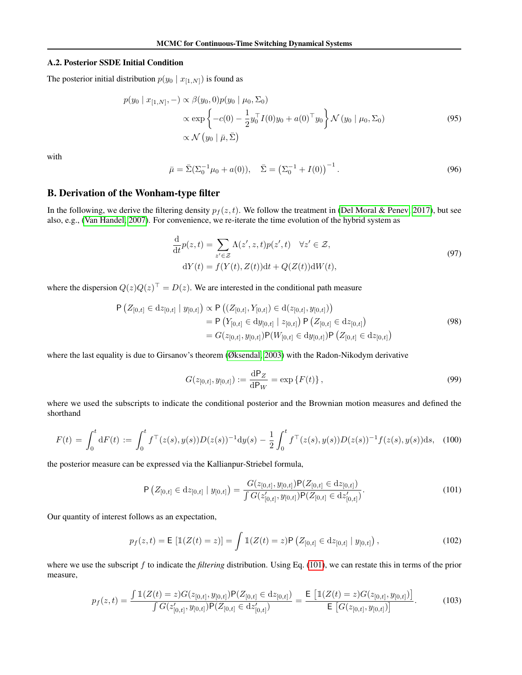#### <span id="page-17-0"></span>A.2. Posterior SSDE Initial Condition

The posterior initial distribution  $p(y_0 | x_{[1,N]})$  is found as

$$
p(y_0 \mid x_{[1,N]}, -) \propto \beta(y_0, 0)p(y_0 \mid \mu_0, \Sigma_0)
$$
  
 
$$
\propto \exp \left\{-c(0) - \frac{1}{2}y_0^\top I(0)y_0 + a(0)^\top y_0\right\} \mathcal{N}(y_0 \mid \mu_0, \Sigma_0)
$$
  
 
$$
\propto \mathcal{N}(y_0 \mid \bar{\mu}, \bar{\Sigma})
$$
 (95)

with

$$
\bar{\mu} = \bar{\Sigma} (\Sigma_0^{-1} \mu_0 + a(0)), \quad \bar{\Sigma} = (\Sigma_0^{-1} + I(0))^{-1}.
$$
\n(96)

## <span id="page-17-1"></span>B. Derivation of the Wonham-type filter

In the following, we derive the filtering density  $p_f(z, t)$ . We follow the treatment in [\(Del Moral & Penev, 2017\)](#page-8-21), but see also, e.g., [\(Van Handel, 2007\)](#page-10-2). For convenience, we re-iterate the time evolution of the hybrid system as

$$
\frac{\mathrm{d}}{\mathrm{d}t}p(z,t) = \sum_{z' \in \mathcal{Z}} \Lambda(z',z,t)p(z',t) \quad \forall z' \in \mathcal{Z},
$$
  
\n
$$
\mathrm{d}Y(t) = f(Y(t), Z(t))\mathrm{d}t + Q(Z(t))\mathrm{d}W(t),
$$
\n(97)

where the dispersion  $Q(z)Q(z)^{\top} = D(z)$ . We are interested in the conditional path measure

$$
\begin{split} \mathsf{P}\left(Z_{[0,t]} \in \mathrm{d}z_{[0,t]} \mid y_{[0,t]}\right) &\propto \mathsf{P}\left((Z_{[0,t]}, Y_{[0,t]}) \in \mathrm{d}(z_{[0,t]}, y_{[0,t]})\right) \\ &= \mathsf{P}\left(Y_{[0,t]} \in \mathrm{d}y_{[0,t]} \mid z_{[0,t]}\right) \mathsf{P}\left(Z_{[0,t]} \in \mathrm{d}z_{[0,t]}\right) \\ &= G(z_{[0,t]}, y_{[0,t]}) \mathsf{P}(W_{[0,t]} \in \mathrm{d}y_{[0,t]}) \mathsf{P}\left(Z_{[0,t]} \in \mathrm{d}z_{[0,t]}\right) \end{split} \tag{98}
$$

where the last equality is due to Girsanov's theorem [\(Øksendal, 2003\)](#page-9-21) with the Radon-Nikodym derivative

<span id="page-17-2"></span>
$$
G(z_{[0,t]}, y_{[0,t]}) := \frac{\mathrm{d}P_Z}{\mathrm{d}P_W} = \exp\{F(t)\},\tag{99}
$$

where we used the subscripts to indicate the conditional posterior and the Brownian motion measures and defined the shorthand

$$
F(t) = \int_0^t dF(t) := \int_0^t f^\top(z(s), y(s)) D(z(s))^{-1} dy(s) - \frac{1}{2} \int_0^t f^\top(z(s), y(s)) D(z(s))^{-1} f(z(s), y(s)) ds, \tag{100}
$$

the posterior measure can be expressed via the Kallianpur-Striebel formula,

$$
\mathsf{P}\left(Z_{[0,t]} \in \mathrm{d}z_{[0,t]}\mid y_{[0,t]}\right) = \frac{G(z_{[0,t]}, y_{[0,t]})\mathsf{P}(Z_{[0,t]} \in \mathrm{d}z_{[0,t]})}{\int G(z'_{[0,t]}, y_{[0,t]})\mathsf{P}(Z_{[0,t]} \in \mathrm{d}z'_{[0,t]})}.\tag{101}
$$

Our quantity of interest follows as an expectation,

$$
p_f(z,t) = \mathsf{E}\left[\mathbb{1}(Z(t) = z)\right] = \int \mathbb{1}(Z(t) = z)\mathsf{P}\left(Z_{[0,t]} \in dz_{[0,t]}\mid y_{[0,t]}\right),\tag{102}
$$

where we use the subscript f to indicate the *filtering* distribution. Using Eq. [\(101\)](#page-17-2), we can restate this in terms of the prior measure,

<span id="page-17-3"></span>
$$
p_f(z,t) = \frac{\int \mathbb{1}(Z(t) = z)G(z_{[0,t]}, y_{[0,t]})\mathsf{P}(Z_{[0,t]} \in dz_{[0,t]})}{\int G(z'_{[0,t]}, y_{[0,t]})\mathsf{P}(Z_{[0,t]} \in dz'_{[0,t]})} = \frac{\mathsf{E}\left[\mathbb{1}(Z(t) = z)G(z_{[0,t]}, y_{[0,t]})\right]}{\mathsf{E}\left[G(z_{[0,t]}, y_{[0,t]})\right]}.
$$
(103)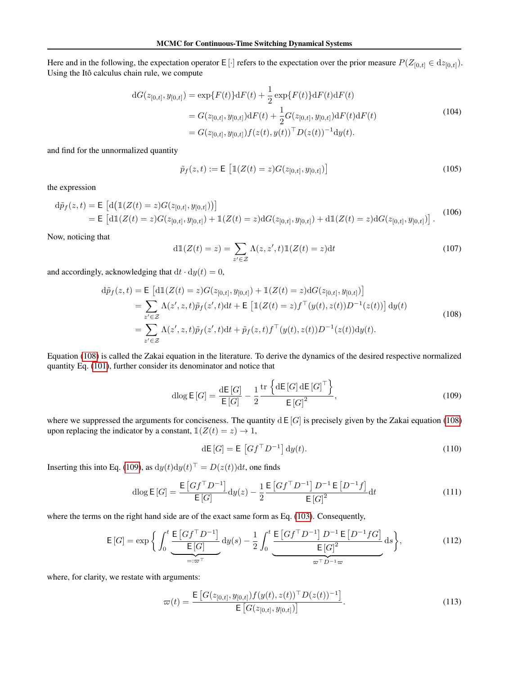Here and in the following, the expectation operator E [·] refers to the expectation over the prior measure  $P(Z_{[0,t]} \in dz_{[0,t]}).$ Using the Itô calculus chain rule, we compute

$$
dG(z_{[0,t]}, y_{[0,t]}) = \exp\{F(t)\}dF(t) + \frac{1}{2}\exp\{F(t)\}dF(t)dF(t)
$$
  
=  $G(z_{[0,t]}, y_{[0,t]})dF(t) + \frac{1}{2}G(z_{[0,t]}, y_{[0,t]})dF(t)dF(t)$   
=  $G(z_{[0,t]}, y_{[0,t]})f(z(t), y(t))^{\top}D(z(t))^{-1}dy(t).$  (104)

and find for the unnormalized quantity

$$
\tilde{p}_f(z,t) := \mathsf{E}\left[\mathbb{1}(Z(t) = z)G(z_{[0,t]}, y_{[0,t]})\right]
$$
\n(105)

the expression

$$
d\tilde{p}_f(z,t) = \mathsf{E}\left[d\big(\mathbb{1}(Z(t) = z)G(z_{[0,t]}, y_{[0,t]})\big)\right]
$$
  
=  $\mathsf{E}\left[d\mathbb{1}(Z(t) = z)G(z_{[0,t]}, y_{[0,t]}) + \mathbb{1}(Z(t) = z)dG(z_{[0,t]}, y_{[0,t]}) + d\mathbb{1}(Z(t) = z)dG(z_{[0,t]}, y_{[0,t]})\right].$  (106)

Now, noticing that

<span id="page-18-0"></span>
$$
d\mathbb{1}(Z(t) = z) = \sum_{z' \in \mathcal{Z}} \Lambda(z, z', t) \mathbb{1}(Z(t) = z) dt
$$
\n(107)

and accordingly, acknowledging that  $dt \cdot dy(t) = 0$ ,

$$
d\tilde{p}_f(z,t) = \mathsf{E}\left[d\mathbb{1}(Z(t) = z)G(z_{[0,t]}, y_{[0,t]}) + \mathbb{1}(Z(t) = z)dG(z_{[0,t]}, y_{[0,t]})\right]
$$
  
\n
$$
= \sum_{z' \in \mathcal{Z}} \Lambda(z', z, t)\tilde{p}_f(z', t)dt + \mathsf{E}\left[\mathbb{1}(Z(t) = z)f^\top(y(t), z(t))D^{-1}(z(t))\right]dy(t)
$$
  
\n
$$
= \sum_{z' \in \mathcal{Z}} \Lambda(z', z, t)\tilde{p}_f(z', t)dt + \tilde{p}_f(z, t)f^\top(y(t), z(t))D^{-1}(z(t))dy(t).
$$
\n(108)

Equation [\(108\)](#page-18-0) is called the Zakai equation in the literature. To derive the dynamics of the desired respective normalized quantity Eq. [\(101\)](#page-17-2), further consider its denominator and notice that

<span id="page-18-1"></span>
$$
\operatorname{dlog} \mathsf{E}\left[G\right] = \frac{\operatorname{d}\mathsf{E}\left[G\right]}{\mathsf{E}\left[G\right]} - \frac{1}{2} \frac{\operatorname{tr}\left\{\operatorname{d}\mathsf{E}\left[G\right]\operatorname{d}\mathsf{E}\left[G\right]^{\top}\right\}}{\mathsf{E}\left[G\right]^2},\tag{109}
$$

where we suppressed the arguments for conciseness. The quantity  $dE[G]$  is precisely given by the Zakai equation [\(108\)](#page-18-0) upon replacing the indicator by a constant,  $\mathbb{I}(Z(t) = z) \to 1$ ,

$$
\mathrm{d}\mathsf{E}\left[G\right] = \mathsf{E}\left[Gf^{\top}D^{-1}\right]\mathrm{d}y(t). \tag{110}
$$

Inserting this into Eq. [\(109\)](#page-18-1), as  $dy(t)dy(t)^\top = D(z(t))dt$ , one finds

$$
\operatorname{dlog} \mathsf{E}\left[G\right] = \frac{\mathsf{E}\left[Gf^{\top}D^{-1}\right]}{\mathsf{E}\left[G\right]} \operatorname{d}y(z) - \frac{1}{2} \frac{\mathsf{E}\left[Gf^{\top}D^{-1}\right]D^{-1}\mathsf{E}\left[D^{-1}f\right]}{\mathsf{E}\left[G\right]^2} \operatorname{d}t \tag{111}
$$

where the terms on the right hand side are of the exact same form as Eq. [\(103\)](#page-17-3). Consequently,

$$
\mathsf{E}\left[G\right] = \exp\bigg\{ \int_0^t \underbrace{\frac{\mathsf{E}\left[G\right]^{-1}}{\mathsf{E}\left[G\right]}}_{=: \varpi^{\top}} \mathrm{d}y(s) - \frac{1}{2} \int_0^t \underbrace{\frac{\mathsf{E}\left[G\right]^{-1} D^{-1} \mathsf{E}\left[D^{-1} f G\right]}{\mathsf{E}\left[G\right]^2}}_{\varpi^{\top} D^{-1} \varpi} \mathrm{d}s \bigg\},\tag{112}
$$

where, for clarity, we restate with arguments:

$$
\varpi(t) = \frac{\mathsf{E}\left[G(z_{[0,t]}, y_{[0,t]})f(y(t), z(t))^{\top} D(z(t))^{-1}\right]}{\mathsf{E}\left[G(z_{[0,t]}, y_{[0,t]})\right]}.
$$
\n(113)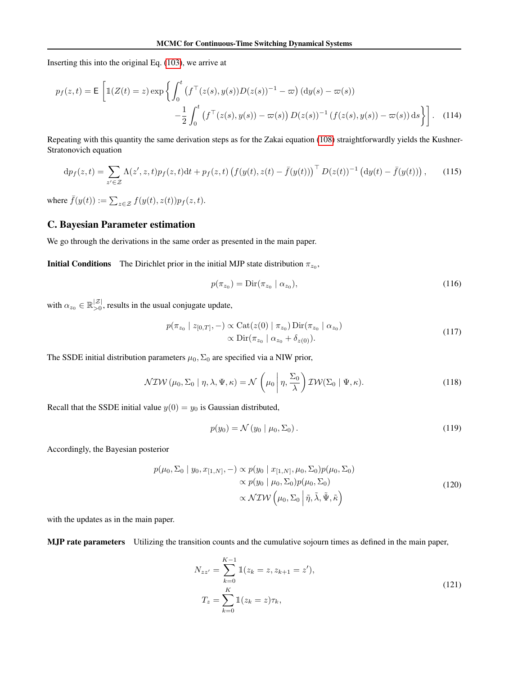Inserting this into the original Eq. [\(103\)](#page-17-3), we arrive at

$$
p_f(z,t) = \mathsf{E}\left[\mathbb{1}(Z(t) = z) \exp\left\{ \int_0^t \left( f^\top(z(s), y(s)) D(z(s))^{-1} - \varpi\right) (\mathrm{d}y(s) - \varpi(s)) -\frac{1}{2} \int_0^t \left( f^\top(z(s), y(s)) - \varpi(s) \right) D(z(s))^{-1} \left( f(z(s), y(s)) - \varpi(s) \right) \mathrm{d}s \right\} \right].
$$
 (114)

Repeating with this quantity the same derivation steps as for the Zakai equation [\(108\)](#page-18-0) straightforwardly yields the Kushner-Stratonovich equation

$$
\mathrm{d}p_f(z,t) = \sum_{z' \in \mathcal{Z}} \Lambda(z',z,t) p_f(z,t) \mathrm{d}t + p_f(z,t) \left( f(y(t),z(t) - \bar{f}(y(t)))^\top D(z(t))^{-1} \left( \mathrm{d}y(t) - \bar{f}(y(t)) \right) \right), \tag{115}
$$

where  $\bar{f}(y(t)) := \sum_{z \in \mathcal{Z}} f(y(t), z(t)) p_f(z, t)$ .

## <span id="page-19-0"></span>C. Bayesian Parameter estimation

We go through the derivations in the same order as presented in the main paper.

**Initial Conditions** The Dirichlet prior in the initial MJP state distribution  $\pi_{z_0}$ ,

$$
p(\pi_{z_0}) = \text{Dir}(\pi_{z_0} \mid \alpha_{z_0}), \tag{116}
$$

with  $\alpha_{z_0} \in \mathbb{R}_{>0}^{|\mathcal{Z}|}$ , results in the usual conjugate update,

$$
p(\pi_{z_0} \mid z_{[0,T]}, -) \propto \text{Cat}(z(0) \mid \pi_{z_0}) \text{Dir}(\pi_{z_0} \mid \alpha_{z_0})
$$
  
 
$$
\propto \text{Dir}(\pi_{z_0} \mid \alpha_{z_0} + \delta_{z(0)}).
$$
 (117)

The SSDE initial distribution parameters  $\mu_0$ ,  $\Sigma_0$  are specified via a NIW prior,

$$
\mathcal{NIW}(\mu_0, \Sigma_0 | \eta, \lambda, \Psi, \kappa) = \mathcal{N}\left(\mu_0 | \eta, \frac{\Sigma_0}{\lambda}\right) \mathcal{IW}(\Sigma_0 | \Psi, \kappa).
$$
\n(118)

Recall that the SSDE initial value  $y(0) = y_0$  is Gaussian distributed,

$$
p(y_0) = \mathcal{N}(y_0 \mid \mu_0, \Sigma_0). \tag{119}
$$

Accordingly, the Bayesian posterior

$$
p(\mu_0, \Sigma_0 | y_0, x_{[1,N]}, -) \propto p(y_0 | x_{[1,N]}, \mu_0, \Sigma_0) p(\mu_0, \Sigma_0)
$$
  
 
$$
\propto p(y_0 | \mu_0, \Sigma_0) p(\mu_0, \Sigma_0)
$$
  
 
$$
\propto \mathcal{N} \mathcal{IW} \left( \mu_0, \Sigma_0 | \tilde{\eta}, \tilde{\lambda}, \tilde{\Psi}, \tilde{\kappa} \right)
$$
 (120)

with the updates as in the main paper.

MJP rate parameters Utilizing the transition counts and the cumulative sojourn times as defined in the main paper,

$$
N_{zz'} = \sum_{k=0}^{K-1} 1(z_k = z, z_{k+1} = z'),
$$
  
\n
$$
T_z = \sum_{k=0}^{K} 1(z_k = z) \tau_k,
$$
\n(121)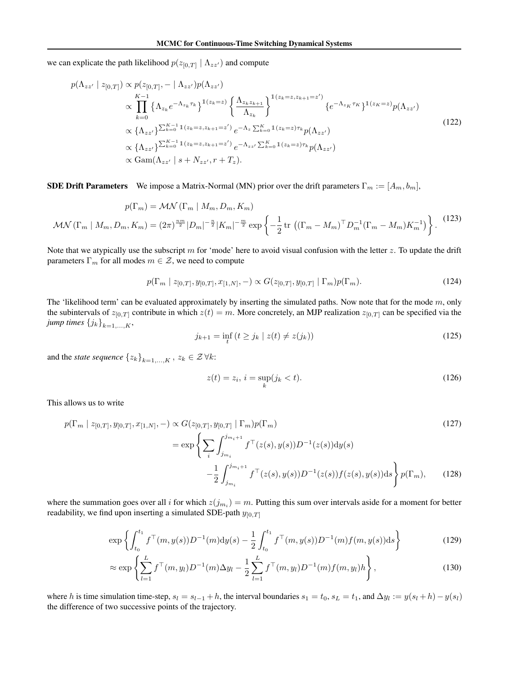we can explicate the path likelihood  $p(z_{[0,T]} | \Lambda_{zz})$  and compute

$$
p(\Lambda_{zz'} \mid z_{[0,T]}) \propto p(z_{[0,T]}, - \mid \Lambda_{zz'})p(\Lambda_{zz'})
$$
\n
$$
\propto \prod_{k=0}^{K-1} \left\{ \Lambda_{z_k} e^{-\Lambda_{z_k} \tau_k} \right\}^{1(z_k=z)} \left\{ \frac{\Lambda_{z_k z_{k+1}}}{\Lambda_{z_k}} \right\}^{1(z_k=z, z_{k+1}=z')} \left\{ e^{-\Lambda_{z_K} \tau_K} \right\}^{1(z_K=z)} p(\Lambda_{zz'})
$$
\n
$$
\propto \left\{ \Lambda_{zz'} \right\}^{\sum_{k=0}^{K-1} 1(z_k=z, z_{k+1}=z')} e^{-\Lambda_z \sum_{k=0}^{K} 1(z_k=z) \tau_k} p(\Lambda_{zz'})
$$
\n
$$
\propto \left\{ \Lambda_{zz'} \right\}^{\sum_{k=0}^{K-1} 1(z_k=z, z_{k+1}=z')} e^{-\Lambda_{zz'} \sum_{k=0}^{K} 1(z_k=z) \tau_k} p(\Lambda_{zz'})
$$
\n
$$
\propto \text{Gam}(\Lambda_{zz'} \mid s + N_{zz'}, r + T_z).
$$
\n(122)

**SDE Drift Parameters** We impose a Matrix-Normal (MN) prior over the drift parameters  $\Gamma_m := [A_m, b_m]$ ,

$$
p(\Gamma_m) = \mathcal{MN}(\Gamma_m \mid M_m, D_m, K_m)
$$
  

$$
\mathcal{MN}(\Gamma_m \mid M_m, D_m, K_m) = (2\pi)^{\frac{nm}{2}} |D_m|^{-\frac{n}{2}} |K_m|^{-\frac{m}{2}} \exp\left\{-\frac{1}{2} \text{tr } \left( (\Gamma_m - M_m)^{\top} D_m^{-1} (\Gamma_m - M_m) K_m^{-1} \right) \right\}.
$$
 (123)

Note that we atypically use the subscript  $m$  for 'mode' here to avoid visual confusion with the letter  $z$ . To update the drift parameters  $\Gamma_m$  for all modes  $m \in \mathcal{Z}$ , we need to compute

$$
p(\Gamma_m \mid z_{[0,T]}, y_{[0,T]}, x_{[1,N]}, -) \propto G(z_{[0,T]}, y_{[0,T]} \mid \Gamma_m) p(\Gamma_m). \tag{124}
$$

The 'likelihood term' can be evaluated approximately by inserting the simulated paths. Now note that for the mode  $m$ , only the subintervals of  $z_{[0,T]}$  contribute in which  $z(t) = m$ . More concretely, an MJP realization  $z_{[0,T]}$  can be specified via the *jump times*  $\{j_k\}_{k=1,\ldots,K}$ ,

$$
j_{k+1} = \inf_{t} (t \ge j_k \mid z(t) \ne z(j_k))
$$
\n(125)

and the *state sequence*  $\{z_k\}_{k=1,\ldots,K}$ ,  $z_k \in \mathcal{Z} \forall k$ :

$$
z(t) = z_i, \, i = \sup_k(j_k < t). \tag{126}
$$

This allows us to write

$$
p(\Gamma_m \mid z_{[0,T]}, y_{[0,T]}, x_{[1,N]}, -) \propto G(z_{[0,T]}, y_{[0,T]} \mid \Gamma_m) p(\Gamma_m)
$$
\n
$$
= \exp \left\{ \sum_i \int_{j_{m_i}}^{j_{m_i+1}} f^\top(z(s), y(s)) D^{-1}(z(s)) dy(s) - \frac{1}{2} \int_{j_{m_i}}^{j_{m_i+1}} f^\top(z(s), y(s)) D^{-1}(z(s)) f(z(s), y(s)) ds \right\} p(\Gamma_m), \qquad (128)
$$

where the summation goes over all i for which  $z(j_{m_i}) = m$ . Putting this sum over intervals aside for a moment for better readability, we find upon inserting a simulated SDE-path  $y_{[0,T]}$ 

$$
\exp\left\{\int_{t_0}^{t_1} f^\top(m, y(s)) D^{-1}(m) \mathrm{d}y(s) - \frac{1}{2} \int_{t_0}^{t_1} f^\top(m, y(s)) D^{-1}(m) f(m, y(s)) \mathrm{d}s\right\} \tag{129}
$$

$$
\approx \exp\left\{\sum_{l=1}^{L} f^{\top}(m, y_l) D^{-1}(m) \Delta y_l - \frac{1}{2} \sum_{l=1}^{L} f^{\top}(m, y_l) D^{-1}(m) f(m, y_l) h\right\},
$$
\n(130)

where h is time simulation time-step,  $s_l = s_{l-1} + h$ , the interval boundaries  $s_1 = t_0$ ,  $s_L = t_1$ , and  $\Delta y_l := y(s_l + h) - y(s_l)$ the difference of two successive points of the trajectory.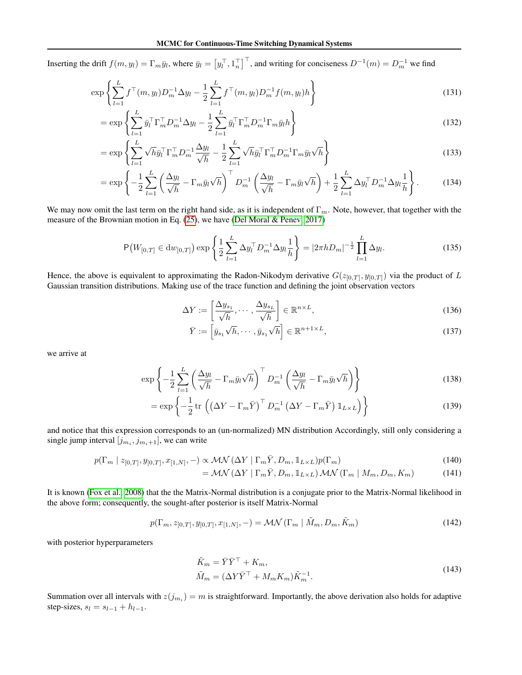Inserting the drift  $f(m, y_l) = \Gamma_m \bar{y}_l$ , where  $\bar{y}_l = \left[y_l^\top, 1_n^\top\right]^\top$ , and writing for conciseness  $D^{-1}(m) = D_m^{-1}$  we find

$$
\exp\left\{\sum_{l=1}^{L} f^{\top}(m, y_l) D_m^{-1} \Delta y_l - \frac{1}{2} \sum_{l=1}^{L} f^{\top}(m, y_l) D_m^{-1} f(m, y_l) h\right\}
$$
\n(131)

$$
= \exp\left\{ \sum_{l=1}^{L} \bar{y}_l^{\top} \Gamma_m^{\top} D_m^{-1} \Delta y_l - \frac{1}{2} \sum_{l=1}^{L} \bar{y}_l^{\top} \Gamma_m^{\top} D_m^{-1} \Gamma_m \bar{y}_l h \right\} \tag{132}
$$

$$
= \exp\left\{\sum_{l=1}^{L} \sqrt{h} \bar{y}_l^{\top} \Gamma_m^{\top} D_m^{-1} \frac{\Delta y_l}{\sqrt{h}} - \frac{1}{2} \sum_{l=1}^{L} \sqrt{h} \bar{y}_l^{\top} \Gamma_m^{\top} D_m^{-1} \Gamma_m \bar{y}_l \sqrt{h} \right\}
$$
(133)

$$
= \exp\left\{-\frac{1}{2}\sum_{l=1}^{L}\left(\frac{\Delta y_l}{\sqrt{h}} - \Gamma_m \bar{y}_l\sqrt{h}\right)^{\top} D_m^{-1}\left(\frac{\Delta y_l}{\sqrt{h}} - \Gamma_m \bar{y}_l\sqrt{h}\right) + \frac{1}{2}\sum_{l=1}^{L} \Delta y_l^{\top} D_m^{-1} \Delta y_l \frac{1}{h}\right\}.
$$
 (134)

We may now omit the last term on the right hand side, as it is independent of  $\Gamma_m$ . Note, however, that together with the measure of the Brownian motion in Eq. [\(25\)](#page-4-1), we have [\(Del Moral & Penev, 2017\)](#page-8-21)

$$
P\big(W_{[0,T]} \in dw_{[0,T]}\big) \exp\left\{\frac{1}{2}\sum_{l=1}^{L} \Delta y_l^{\top} D_m^{-1} \Delta y_l \frac{1}{h}\right\} = |2\pi h D_m|^{-\frac{1}{2}} \prod_{l=1}^{L} \Delta y_l.
$$
 (135)

Hence, the above is equivalent to approximating the Radon-Nikodym derivative  $G(z_{[0,T]}, y_{[0,T]})$  via the product of L Gaussian transition distributions. Making use of the trace function and defining the joint observation vectors

$$
\Delta Y := \left[\frac{\Delta y_{s_1}}{\sqrt{h}}, \cdots, \frac{\Delta y_{s_L}}{\sqrt{h}}\right] \in \mathbb{R}^{n \times L},\tag{136}
$$

$$
\bar{Y} := \left[ \bar{y}_{s_1} \sqrt{h}, \cdots, \bar{y}_{s_1} \sqrt{h} \right] \in \mathbb{R}^{n+1 \times L},\tag{137}
$$

we arrive at

$$
\exp\left\{-\frac{1}{2}\sum_{l=1}^{L}\left(\frac{\Delta y_{l}}{\sqrt{h}} - \Gamma_{m}\bar{y}_{l}\sqrt{h}\right)^{\top}D_{m}^{-1}\left(\frac{\Delta y_{l}}{\sqrt{h}} - \Gamma_{m}\bar{y}_{l}\sqrt{h}\right)\right\} \tag{138}
$$

$$
= \exp\left\{-\frac{1}{2}\operatorname{tr}\left(\left(\Delta Y - \Gamma_m \bar{Y}\right)^{\top} D_m^{-1} \left(\Delta Y - \Gamma_m \bar{Y}\right) \mathbb{1}_{L \times L}\right)\right\} \tag{139}
$$

and notice that this expression corresponds to an (un-normalized) MN distribution Accordingly, still only considering a single jump interval  $[j_{m_i}, j_{m_i+1}]$ , we can write

$$
p(\Gamma_m \mid z_{[0,T]}, y_{[0,T]}, x_{[1,N]}, -) \propto \mathcal{MN}(\Delta Y \mid \Gamma_m \bar{Y}, D_m, \mathbb{1}_{L \times L}) p(\Gamma_m)
$$
\n(140)

$$
= \mathcal{MN} \left( \Delta Y \mid \Gamma_m \bar{Y}, D_m, \mathbb{1}_{L \times L} \right) \mathcal{MN} \left( \Gamma_m \mid M_m, D_m, K_m \right) \tag{141}
$$

It is known [\(Fox et al., 2008\)](#page-8-10) that the the Matrix-Normal distribution is a conjugate prior to the Matrix-Normal likelihood in the above form; consequently, the sought-after posterior is itself Matrix-Normal

$$
p(\Gamma_m, z_{[0,T]}, y_{[0,T]}, x_{[1,N]}, -) = \mathcal{MN}(\Gamma_m | \tilde{M}_m, D_m, \tilde{K}_m)
$$
\n(142)

with posterior hyperparameters

$$
\tilde{K}_m = \bar{Y}\bar{Y}^\top + K_m,
$$
\n
$$
\tilde{M}_m = (\Delta Y \bar{Y}^\top + M_m K_m) \tilde{K}_m^{-1}.
$$
\n(143)

Summation over all intervals with  $z(j_{m_i}) = m$  is straightforward. Importantly, the above derivation also holds for adaptive step-sizes,  $s_l = s_{l-1} + h_{l-1}$ .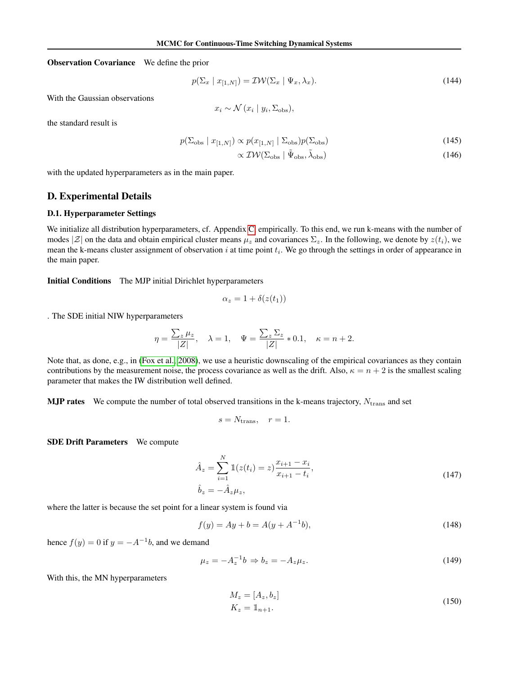Observation Covariance We define the prior

$$
p(\Sigma_x \mid x_{[1,N]}) = \mathcal{IW}(\Sigma_x \mid \Psi_x, \lambda_x). \tag{144}
$$

With the Gaussian observations

$$
x_i \sim \mathcal{N}(x_i \mid y_i, \Sigma_{\text{obs}}),
$$

the standard result is

$$
p(\Sigma_{\rm obs} \mid x_{[1,N]}) \propto p(x_{[1,N]} \mid \Sigma_{\rm obs}) p(\Sigma_{\rm obs})
$$
\n(145)

$$
\propto \mathcal{IW}(\Sigma_{\rm obs} \mid \tilde{\Psi}_{\rm obs}, \tilde{\lambda}_{\rm obs}) \tag{146}
$$

with the updated hyperparameters as in the main paper.

## <span id="page-22-0"></span>D. Experimental Details

#### D.1. Hyperparameter Settings

We initialize all distribution hyperparameters, cf. Appendix [C,](#page-19-0) empirically. To this end, we run k-means with the number of modes  $|\mathcal{Z}|$  on the data and obtain empirical cluster means  $\mu_z$  and covariances  $\Sigma_z$ . In the following, we denote by  $z(t_i)$ , we mean the k-means cluster assignment of observation  $i$  at time point  $t_i$ . We go through the settings in order of appearance in the main paper.

Initial Conditions The MJP initial Dirichlet hyperparameters

$$
\alpha_z = 1 + \delta(z(t_1))
$$

. The SDE initial NIW hyperparameters

$$
\eta = \frac{\sum_{z} \mu_z}{|Z|}, \quad \lambda = 1, \quad \Psi = \frac{\sum_{z} \Sigma_z}{|Z|} * 0.1, \quad \kappa = n + 2.
$$

Note that, as done, e.g., in [\(Fox et al., 2008\)](#page-8-10), we use a heuristic downscaling of the empirical covariances as they contain contributions by the measurement noise, the process covariance as well as the drift. Also,  $\kappa = n + 2$  is the smallest scaling parameter that makes the IW distribution well defined.

**MJP rates** We compute the number of total observed transitions in the k-means trajectory,  $N_{\text{trans}}$  and set

$$
s = N_{\text{trans}}, \quad r = 1.
$$

SDE Drift Parameters We compute

$$
\hat{A}_z = \sum_{i=1}^N \mathbb{1}(z(t_i) = z) \frac{x_{i+1} - x_i}{x_{i+1} - t_i},
$$
\n
$$
\hat{b}_z = -\hat{A}_z \mu_z,
$$
\n(147)

where the latter is because the set point for a linear system is found via

$$
f(y) = Ay + b = A(y + A^{-1}b),
$$
\n(148)

hence  $f(y) = 0$  if  $y = -A^{-1}b$ , and we demand

$$
\mu_z = -A_z^{-1}b \Rightarrow b_z = -A_z \mu_z.
$$
\n(149)

With this, the MN hyperparameters

$$
M_z = [A_z, b_z]
$$
  
\n
$$
K_z = 1_{n+1}.
$$
\n(150)